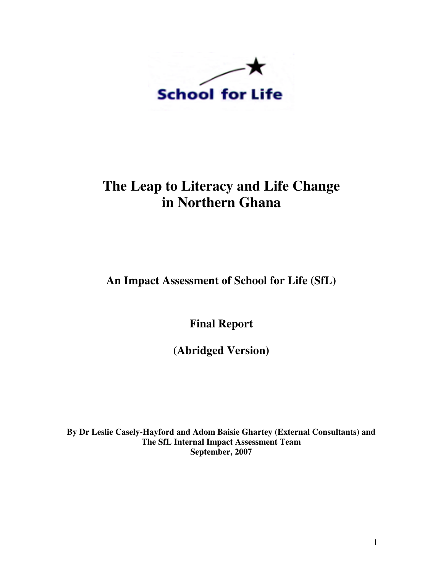

## **The Leap to Literacy and Life Change in Northern Ghana**

**An Impact Assessment of School for Life (SfL)** 

**Final Report** 

**(Abridged Version)** 

**By Dr Leslie Casely-Hayford and Adom Baisie Ghartey (External Consultants) and The SfL Internal Impact Assessment Team September, 2007**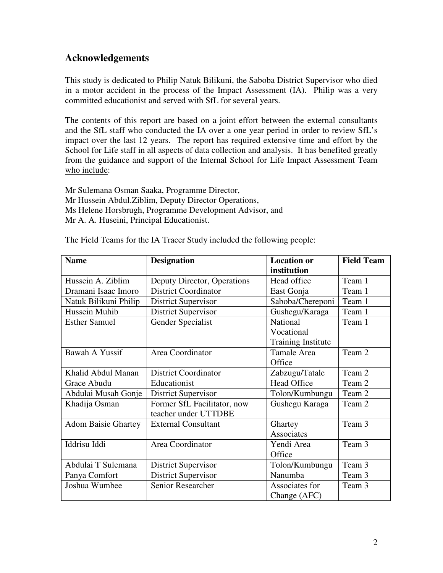## **Acknowledgements**

This study is dedicated to Philip Natuk Bilikuni, the Saboba District Supervisor who died in a motor accident in the process of the Impact Assessment (IA). Philip was a very committed educationist and served with SfL for several years.

The contents of this report are based on a joint effort between the external consultants and the SfL staff who conducted the IA over a one year period in order to review SfL's impact over the last 12 years. The report has required extensive time and effort by the School for Life staff in all aspects of data collection and analysis. It has benefited greatly from the guidance and support of the Internal School for Life Impact Assessment Team who include:

Mr Sulemana Osman Saaka, Programme Director, Mr Hussein Abdul.Ziblim, Deputy Director Operations, Ms Helene Horsbrugh, Programme Development Advisor, and Mr A. A. Huseini, Principal Educationist.

| <b>Name</b>                | <b>Designation</b>          | <b>Location or</b>        | <b>Field Team</b> |
|----------------------------|-----------------------------|---------------------------|-------------------|
|                            |                             | institution               |                   |
| Hussein A. Ziblim          | Deputy Director, Operations | Head office               | Team 1            |
| Dramani Isaac Imoro        | <b>District Coordinator</b> | East Gonja                | Team 1            |
| Natuk Bilikuni Philip      | <b>District Supervisor</b>  | Saboba/Chereponi          | Team 1            |
| Hussein Muhib              | District Supervisor         | Gushegu/Karaga            | Team 1            |
| <b>Esther Samuel</b>       | Gender Specialist           | National                  | Team 1            |
|                            |                             | Vocational                |                   |
|                            |                             | <b>Training Institute</b> |                   |
| Bawah A Yussif             | Area Coordinator            | Tamale Area               | Team 2            |
|                            |                             | Office                    |                   |
| Khalid Abdul Manan         | <b>District Coordinator</b> | Zabzugu/Tatale            | Team 2            |
| Grace Abudu                | Educationist                | <b>Head Office</b>        | Team 2            |
| Abdulai Musah Gonje        | District Supervisor         | Tolon/Kumbungu            | Team 2            |
| Khadija Osman              | Former SfL Facilitator, now | Gushegu Karaga            | Team 2            |
|                            | teacher under UTTDBE        |                           |                   |
| <b>Adom Baisie Ghartey</b> | <b>External Consultant</b>  | Ghartey                   | Team 3            |
|                            |                             | Associates                |                   |
| Iddrisu Iddi               | Area Coordinator            | Yendi Area                | Team 3            |
|                            |                             | Office                    |                   |
| Abdulai T Sulemana         | <b>District Supervisor</b>  | Tolon/Kumbungu            | Team 3            |
| Panya Comfort              | District Supervisor         | Nanumba                   | Team 3            |
| Joshua Wumbee              | Senior Researcher           | Associates for            | Team 3            |
|                            |                             | Change (AFC)              |                   |

The Field Teams for the IA Tracer Study included the following people: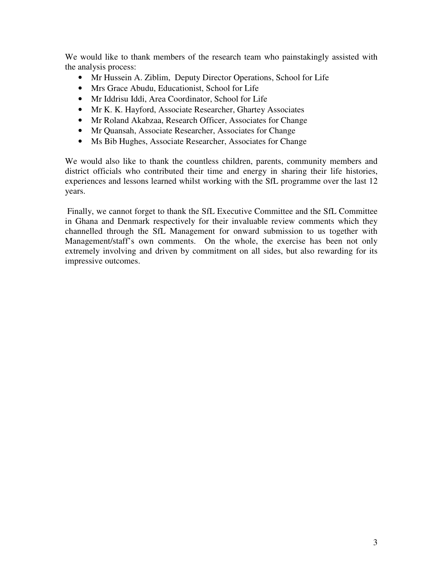We would like to thank members of the research team who painstakingly assisted with the analysis process:

- Mr Hussein A. Ziblim, Deputy Director Operations, School for Life
- Mrs Grace Abudu, Educationist, School for Life
- Mr Iddrisu Iddi, Area Coordinator, School for Life
- Mr K. K. Hayford, Associate Researcher, Ghartey Associates
- Mr Roland Akabzaa, Research Officer, Associates for Change
- Mr Quansah, Associate Researcher, Associates for Change
- Ms Bib Hughes, Associate Researcher, Associates for Change

We would also like to thank the countless children, parents, community members and district officials who contributed their time and energy in sharing their life histories, experiences and lessons learned whilst working with the SfL programme over the last 12 years.

 Finally, we cannot forget to thank the SfL Executive Committee and the SfL Committee in Ghana and Denmark respectively for their invaluable review comments which they channelled through the SfL Management for onward submission to us together with Management/staff's own comments. On the whole, the exercise has been not only extremely involving and driven by commitment on all sides, but also rewarding for its impressive outcomes.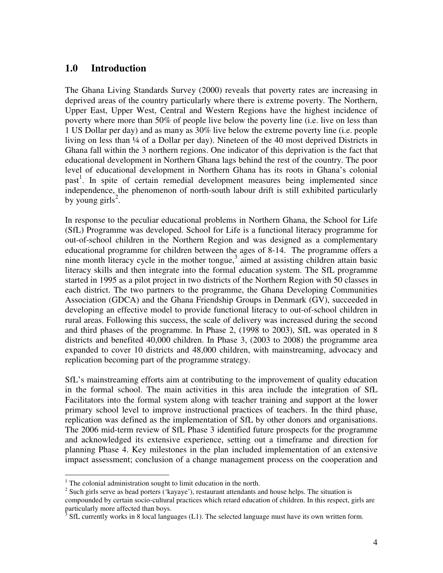## **1.0 Introduction**

The Ghana Living Standards Survey (2000) reveals that poverty rates are increasing in deprived areas of the country particularly where there is extreme poverty. The Northern, Upper East, Upper West, Central and Western Regions have the highest incidence of poverty where more than 50% of people live below the poverty line (i.e. live on less than 1 US Dollar per day) and as many as 30% live below the extreme poverty line (i.e. people living on less than ¼ of a Dollar per day). Nineteen of the 40 most deprived Districts in Ghana fall within the 3 northern regions. One indicator of this deprivation is the fact that educational development in Northern Ghana lags behind the rest of the country. The poor level of educational development in Northern Ghana has its roots in Ghana's colonial past<sup>1</sup>. In spite of certain remedial development measures being implemented since independence, the phenomenon of north-south labour drift is still exhibited particularly by young girls<sup>2</sup>.

In response to the peculiar educational problems in Northern Ghana, the School for Life (SfL) Programme was developed. School for Life is a functional literacy programme for out-of-school children in the Northern Region and was designed as a complementary educational programme for children between the ages of 8-14. The programme offers a nine month literacy cycle in the mother tongue, $3$  aimed at assisting children attain basic literacy skills and then integrate into the formal education system. The SfL programme started in 1995 as a pilot project in two districts of the Northern Region with 50 classes in each district. The two partners to the programme, the Ghana Developing Communities Association (GDCA) and the Ghana Friendship Groups in Denmark (GV), succeeded in developing an effective model to provide functional literacy to out-of-school children in rural areas. Following this success, the scale of delivery was increased during the second and third phases of the programme. In Phase 2, (1998 to 2003), SfL was operated in 8 districts and benefited 40,000 children. In Phase 3, (2003 to 2008) the programme area expanded to cover 10 districts and 48,000 children, with mainstreaming, advocacy and replication becoming part of the programme strategy.

SfL's mainstreaming efforts aim at contributing to the improvement of quality education in the formal school. The main activities in this area include the integration of SfL Facilitators into the formal system along with teacher training and support at the lower primary school level to improve instructional practices of teachers. In the third phase, replication was defined as the implementation of SfL by other donors and organisations. The 2006 mid-term review of SfL Phase 3 identified future prospects for the programme and acknowledged its extensive experience, setting out a timeframe and direction for planning Phase 4. Key milestones in the plan included implementation of an extensive impact assessment; conclusion of a change management process on the cooperation and

 1 The colonial administration sought to limit education in the north.

 $2^{2}$  Such girls serve as head porters ('kayaye'), restaurant attendants and house helps. The situation is

compounded by certain socio-cultural practices which retard education of children. In this respect, girls are particularly more affected than boys.

 $3$  SfL currently works in 8 local languages (L1). The selected language must have its own written form.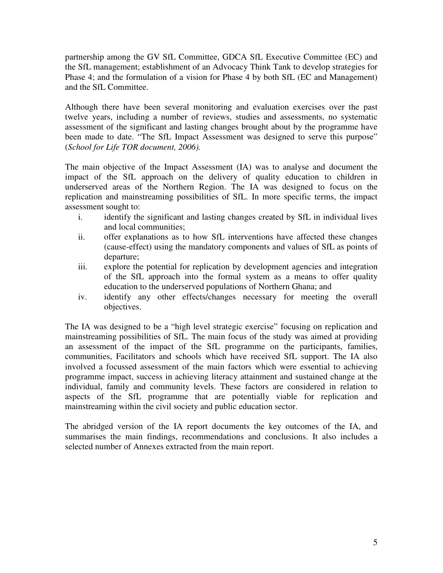partnership among the GV SfL Committee, GDCA SfL Executive Committee (EC) and the SfL management; establishment of an Advocacy Think Tank to develop strategies for Phase 4; and the formulation of a vision for Phase 4 by both SfL (EC and Management) and the SfL Committee.

Although there have been several monitoring and evaluation exercises over the past twelve years, including a number of reviews, studies and assessments, no systematic assessment of the significant and lasting changes brought about by the programme have been made to date. "The SfL Impact Assessment was designed to serve this purpose" (*School for Life TOR document, 2006).*

The main objective of the Impact Assessment (IA) was to analyse and document the impact of the SfL approach on the delivery of quality education to children in underserved areas of the Northern Region. The IA was designed to focus on the replication and mainstreaming possibilities of SfL. In more specific terms, the impact assessment sought to:

- i. identify the significant and lasting changes created by SfL in individual lives and local communities;
- ii. offer explanations as to how SfL interventions have affected these changes (cause-effect) using the mandatory components and values of SfL as points of departure;
- iii. explore the potential for replication by development agencies and integration of the SfL approach into the formal system as a means to offer quality education to the underserved populations of Northern Ghana; and
- iv. identify any other effects/changes necessary for meeting the overall objectives.

The IA was designed to be a "high level strategic exercise" focusing on replication and mainstreaming possibilities of SfL. The main focus of the study was aimed at providing an assessment of the impact of the SfL programme on the participants, families, communities, Facilitators and schools which have received SfL support. The IA also involved a focussed assessment of the main factors which were essential to achieving programme impact, success in achieving literacy attainment and sustained change at the individual, family and community levels. These factors are considered in relation to aspects of the SfL programme that are potentially viable for replication and mainstreaming within the civil society and public education sector.

The abridged version of the IA report documents the key outcomes of the IA, and summarises the main findings, recommendations and conclusions. It also includes a selected number of Annexes extracted from the main report.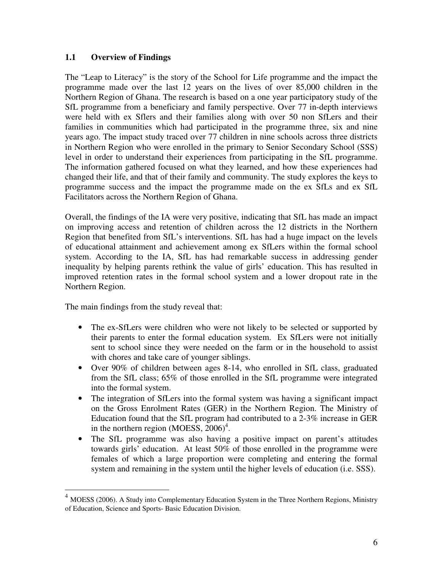#### **1.1 Overview of Findings**

The "Leap to Literacy" is the story of the School for Life programme and the impact the programme made over the last 12 years on the lives of over 85,000 children in the Northern Region of Ghana. The research is based on a one year participatory study of the SfL programme from a beneficiary and family perspective. Over 77 in-depth interviews were held with ex Sflers and their families along with over 50 non SfLers and their families in communities which had participated in the programme three, six and nine years ago. The impact study traced over 77 children in nine schools across three districts in Northern Region who were enrolled in the primary to Senior Secondary School (SSS) level in order to understand their experiences from participating in the SfL programme. The information gathered focused on what they learned, and how these experiences had changed their life, and that of their family and community. The study explores the keys to programme success and the impact the programme made on the ex SfLs and ex SfL Facilitators across the Northern Region of Ghana.

Overall, the findings of the IA were very positive, indicating that SfL has made an impact on improving access and retention of children across the 12 districts in the Northern Region that benefited from SfL's interventions. SfL has had a huge impact on the levels of educational attainment and achievement among ex SfLers within the formal school system. According to the IA, SfL has had remarkable success in addressing gender inequality by helping parents rethink the value of girls' education. This has resulted in improved retention rates in the formal school system and a lower dropout rate in the Northern Region.

The main findings from the study reveal that:

 $\overline{a}$ 

- The ex-SfLers were children who were not likely to be selected or supported by their parents to enter the formal education system. Ex SfLers were not initially sent to school since they were needed on the farm or in the household to assist with chores and take care of younger siblings.
- Over 90% of children between ages 8-14, who enrolled in SfL class, graduated from the SfL class; 65% of those enrolled in the SfL programme were integrated into the formal system.
- The integration of SfLers into the formal system was having a significant impact on the Gross Enrolment Rates (GER) in the Northern Region. The Ministry of Education found that the SfL program had contributed to a 2-3% increase in GER in the northern region (MOESS,  $2006$ <sup>4</sup>.
- The SfL programme was also having a positive impact on parent's attitudes towards girls' education. At least 50% of those enrolled in the programme were females of which a large proportion were completing and entering the formal system and remaining in the system until the higher levels of education (i.e. SSS).

<sup>&</sup>lt;sup>4</sup> MOESS (2006). A Study into Complementary Education System in the Three Northern Regions, Ministry of Education, Science and Sports- Basic Education Division.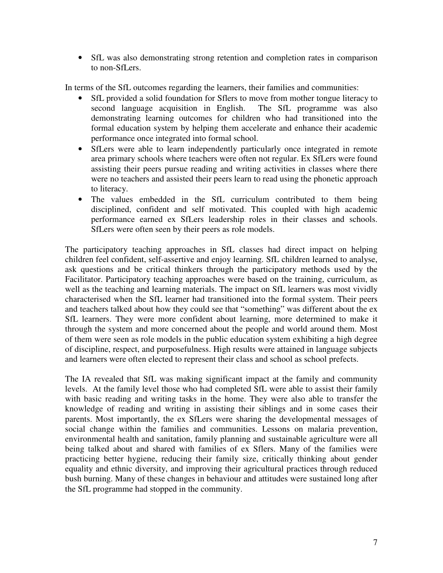• SfL was also demonstrating strong retention and completion rates in comparison to non-SfLers.

In terms of the SfL outcomes regarding the learners, their families and communities:

- SfL provided a solid foundation for Sflers to move from mother tongue literacy to second language acquisition in English. The SfL programme was also second language acquisition in English. demonstrating learning outcomes for children who had transitioned into the formal education system by helping them accelerate and enhance their academic performance once integrated into formal school.
- SfLers were able to learn independently particularly once integrated in remote area primary schools where teachers were often not regular. Ex SfLers were found assisting their peers pursue reading and writing activities in classes where there were no teachers and assisted their peers learn to read using the phonetic approach to literacy.
- The values embedded in the SfL curriculum contributed to them being disciplined, confident and self motivated. This coupled with high academic performance earned ex SfLers leadership roles in their classes and schools. SfLers were often seen by their peers as role models.

The participatory teaching approaches in SfL classes had direct impact on helping children feel confident, self-assertive and enjoy learning. SfL children learned to analyse, ask questions and be critical thinkers through the participatory methods used by the Facilitator. Participatory teaching approaches were based on the training, curriculum, as well as the teaching and learning materials. The impact on SfL learners was most vividly characterised when the SfL learner had transitioned into the formal system. Their peers and teachers talked about how they could see that "something" was different about the ex SfL learners. They were more confident about learning, more determined to make it through the system and more concerned about the people and world around them. Most of them were seen as role models in the public education system exhibiting a high degree of discipline, respect, and purposefulness. High results were attained in language subjects and learners were often elected to represent their class and school as school prefects.

The IA revealed that SfL was making significant impact at the family and community levels. At the family level those who had completed SfL were able to assist their family with basic reading and writing tasks in the home. They were also able to transfer the knowledge of reading and writing in assisting their siblings and in some cases their parents. Most importantly, the ex SfLers were sharing the developmental messages of social change within the families and communities. Lessons on malaria prevention, environmental health and sanitation, family planning and sustainable agriculture were all being talked about and shared with families of ex Sflers. Many of the families were practicing better hygiene, reducing their family size, critically thinking about gender equality and ethnic diversity, and improving their agricultural practices through reduced bush burning. Many of these changes in behaviour and attitudes were sustained long after the SfL programme had stopped in the community.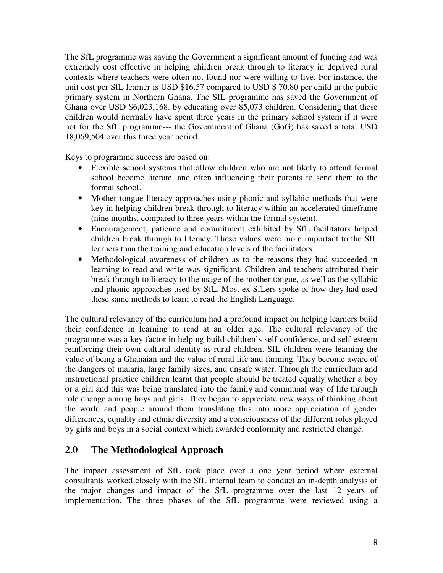The SfL programme was saving the Government a significant amount of funding and was extremely cost effective in helping children break through to literacy in deprived rural contexts where teachers were often not found nor were willing to live. For instance, the unit cost per SfL learner is USD \$16.57 compared to USD \$ 70.80 per child in the public primary system in Northern Ghana. The SfL programme has saved the Government of Ghana over USD \$6,023,168. by educating over 85,073 children. Considering that these children would normally have spent three years in the primary school system if it were not for the SfL programme--- the Government of Ghana (GoG) has saved a total USD 18,069,504 over this three year period.

Keys to programme success are based on:

- Flexible school systems that allow children who are not likely to attend formal school become literate, and often influencing their parents to send them to the formal school.
- Mother tongue literacy approaches using phonic and syllabic methods that were key in helping children break through to literacy within an accelerated timeframe (nine months, compared to three years within the formal system).
- Encouragement, patience and commitment exhibited by SfL facilitators helped children break through to literacy. These values were more important to the SfL learners than the training and education levels of the facilitators.
- Methodological awareness of children as to the reasons they had succeeded in learning to read and write was significant. Children and teachers attributed their break through to literacy to the usage of the mother tongue, as well as the syllabic and phonic approaches used by SfL. Most ex SfLers spoke of how they had used these same methods to learn to read the English Language.

The cultural relevancy of the curriculum had a profound impact on helping learners build their confidence in learning to read at an older age. The cultural relevancy of the programme was a key factor in helping build children's self-confidence, and self-esteem reinforcing their own cultural identity as rural children. SfL children were learning the value of being a Ghanaian and the value of rural life and farming. They become aware of the dangers of malaria, large family sizes, and unsafe water. Through the curriculum and instructional practice children learnt that people should be treated equally whether a boy or a girl and this was being translated into the family and communal way of life through role change among boys and girls. They began to appreciate new ways of thinking about the world and people around them translating this into more appreciation of gender differences, equality and ethnic diversity and a consciousness of the different roles played by girls and boys in a social context which awarded conformity and restricted change.

## **2.0 The Methodological Approach**

The impact assessment of SfL took place over a one year period where external consultants worked closely with the SfL internal team to conduct an in-depth analysis of the major changes and impact of the SfL programme over the last 12 years of implementation. The three phases of the SfL programme were reviewed using a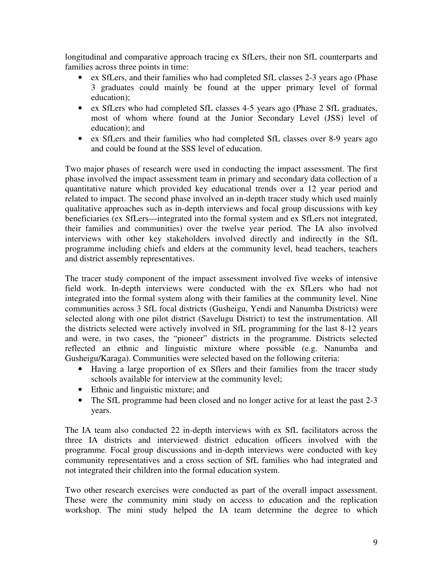longitudinal and comparative approach tracing ex SfLers, their non SfL counterparts and families across three points in time:

- ex SfLers, and their families who had completed SfL classes 2-3 years ago (Phase 3 graduates could mainly be found at the upper primary level of formal education);
- ex SfLers who had completed SfL classes 4-5 years ago (Phase 2 SfL graduates, most of whom where found at the Junior Secondary Level (JSS) level of education); and
- ex SfLers and their families who had completed SfL classes over 8-9 years ago and could be found at the SSS level of education.

Two major phases of research were used in conducting the impact assessment. The first phase involved the impact assessment team in primary and secondary data collection of a quantitative nature which provided key educational trends over a 12 year period and related to impact. The second phase involved an in-depth tracer study which used mainly qualitative approaches such as in-depth interviews and focal group discussions with key beneficiaries (ex SfLers—integrated into the formal system and ex SfLers not integrated, their families and communities) over the twelve year period. The IA also involved interviews with other key stakeholders involved directly and indirectly in the SfL programme including chiefs and elders at the community level, head teachers, teachers and district assembly representatives.

The tracer study component of the impact assessment involved five weeks of intensive field work. In-depth interviews were conducted with the ex SfLers who had not integrated into the formal system along with their families at the community level. Nine communities across 3 SfL focal districts (Gusheigu, Yendi and Nanumba Districts) were selected along with one pilot district (Savelugu District) to test the instrumentation. All the districts selected were actively involved in SfL programming for the last 8-12 years and were, in two cases, the "pioneer" districts in the programme. Districts selected reflected an ethnic and linguistic mixture where possible (e.g. Nanumba and Gusheigu/Karaga). Communities were selected based on the following criteria:

- Having a large proportion of ex Sflers and their families from the tracer study schools available for interview at the community level;
- Ethnic and linguistic mixture; and
- The SfL programme had been closed and no longer active for at least the past 2-3 years.

The IA team also conducted 22 in-depth interviews with ex SfL facilitators across the three IA districts and interviewed district education officers involved with the programme. Focal group discussions and in-depth interviews were conducted with key community representatives and a cross section of SfL families who had integrated and not integrated their children into the formal education system.

Two other research exercises were conducted as part of the overall impact assessment. These were the community mini study on access to education and the replication workshop. The mini study helped the IA team determine the degree to which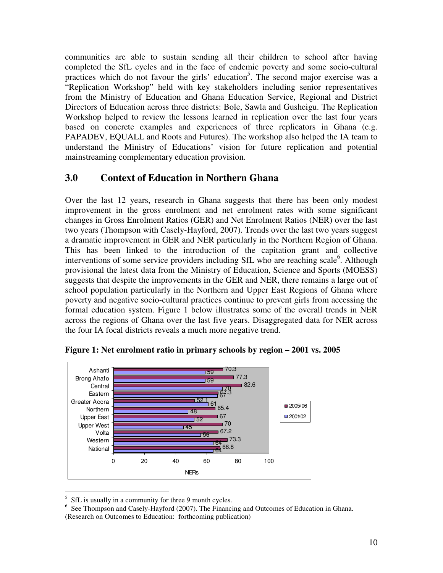communities are able to sustain sending all their children to school after having completed the SfL cycles and in the face of endemic poverty and some socio-cultural practices which do not favour the girls' education<sup>5</sup>. The second major exercise was a "Replication Workshop" held with key stakeholders including senior representatives from the Ministry of Education and Ghana Education Service, Regional and District Directors of Education across three districts: Bole, Sawla and Gusheigu. The Replication Workshop helped to review the lessons learned in replication over the last four years based on concrete examples and experiences of three replicators in Ghana (e.g. PAPADEV, EQUALL and Roots and Futures). The workshop also helped the IA team to understand the Ministry of Educations' vision for future replication and potential mainstreaming complementary education provision.

## **3.0 Context of Education in Northern Ghana**

Over the last 12 years, research in Ghana suggests that there has been only modest improvement in the gross enrolment and net enrolment rates with some significant changes in Gross Enrolment Ratios (GER) and Net Enrolment Ratios (NER) over the last two years (Thompson with Casely-Hayford, 2007). Trends over the last two years suggest a dramatic improvement in GER and NER particularly in the Northern Region of Ghana. This has been linked to the introduction of the capitation grant and collective interventions of some service providers including SfL who are reaching scale<sup>6</sup>. Although provisional the latest data from the Ministry of Education, Science and Sports (MOESS) suggests that despite the improvements in the GER and NER, there remains a large out of school population particularly in the Northern and Upper East Regions of Ghana where poverty and negative socio-cultural practices continue to prevent girls from accessing the formal education system. Figure 1 below illustrates some of the overall trends in NER across the regions of Ghana over the last five years. Disaggregated data for NER across the four IA focal districts reveals a much more negative trend.



**Figure 1: Net enrolment ratio in primary schools by region – 2001 vs. 2005** 

<sup>&</sup>lt;sup>5</sup> SfL is usually in a community for three 9 month cycles.

<sup>&</sup>lt;sup>6</sup> See Thompson and Casely-Hayford (2007). The Financing and Outcomes of Education in Ghana. (Research on Outcomes to Education: forthcoming publication)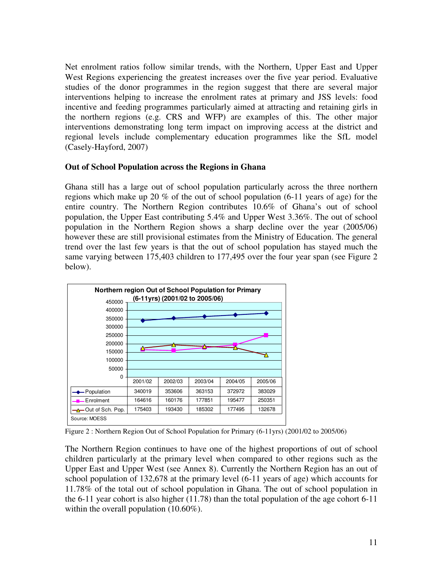Net enrolment ratios follow similar trends, with the Northern, Upper East and Upper West Regions experiencing the greatest increases over the five year period. Evaluative studies of the donor programmes in the region suggest that there are several major interventions helping to increase the enrolment rates at primary and JSS levels: food incentive and feeding programmes particularly aimed at attracting and retaining girls in the northern regions (e.g. CRS and WFP) are examples of this. The other major interventions demonstrating long term impact on improving access at the district and regional levels include complementary education programmes like the SfL model (Casely-Hayford, 2007)

#### **Out of School Population across the Regions in Ghana**

Ghana still has a large out of school population particularly across the three northern regions which make up 20 % of the out of school population (6-11 years of age) for the entire country. The Northern Region contributes 10.6% of Ghana's out of school population, the Upper East contributing 5.4% and Upper West 3.36%. The out of school population in the Northern Region shows a sharp decline over the year (2005/06) however these are still provisional estimates from the Ministry of Education. The general trend over the last few years is that the out of school population has stayed much the same varying between 175,403 children to 177,495 over the four year span (see Figure 2) below).



Figure 2 : Northern Region Out of School Population for Primary (6-11yrs) (2001/02 to 2005/06)

The Northern Region continues to have one of the highest proportions of out of school children particularly at the primary level when compared to other regions such as the Upper East and Upper West (see Annex 8). Currently the Northern Region has an out of school population of 132,678 at the primary level (6-11 years of age) which accounts for 11.78% of the total out of school population in Ghana. The out of school population in the 6-11 year cohort is also higher (11.78) than the total population of the age cohort 6-11 within the overall population (10.60%).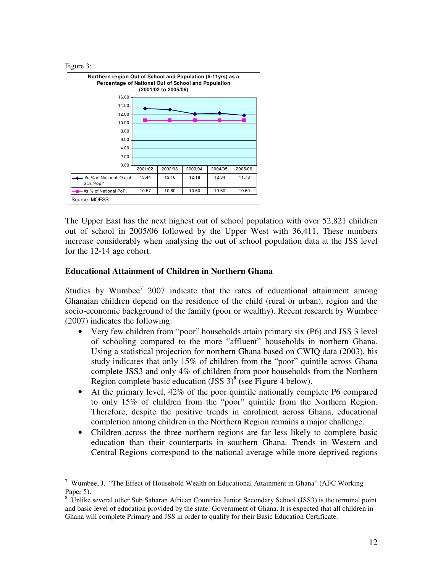



The Upper East has the next highest out of school population with over 52,821 children out of school in 2005/06 followed by the Upper West with 36,411. These numbers increase considerably when analysing the out of school population data at the JSS level for the 12-14 age cohort.

#### **Educational Attainment of Children in Northern Ghana**

Studies by Wumbee<sup>7</sup> 2007 indicate that the rates of educational attainment among Ghanaian children depend on the residence of the child (rural or urban), region and the socio-economic background of the family (poor or wealthy). Recent research by Wumbee (2007) indicates the following:

- Very few children from "poor" households attain primary six (P6) and JSS 3 level of schooling compared to the more "affluent" households in northern Ghana. Using a statistical projection for northern Ghana based on CWIQ data (2003), his study indicates that only 15% of children from the "poor" quintile across Ghana complete JSS3 and only 4% of children from poor households from the Northern Region complete basic education (JSS  $3)^{8}$  (see Figure 4 below).
- At the primary level, 42% of the poor quintile nationally complete P6 compared to only 15% of children from the "poor" quintile from the Northern Region. Therefore, despite the positive trends in enrolment across Ghana, educational completion among children in the Northern Region remains a major challenge.
- Children across the three northern regions are far less likely to complete basic education than their counterparts in southern Ghana. Trends in Western and Central Regions correspond to the national average while more deprived regions

 7 Wumbee, J. "The Effect of Household Wealth on Educational Attainment in Ghana" (AFC Working Paper 5).

<sup>&</sup>lt;sup>8</sup> Unlike several other Sub Saharan African Countries Junior Secondary School (JSS3) is the terminal point and basic level of education provided by the state: Government of Ghana. It is expected that all children in Ghana will complete Primary and JSS in order to qualify for their Basic Education Certificate.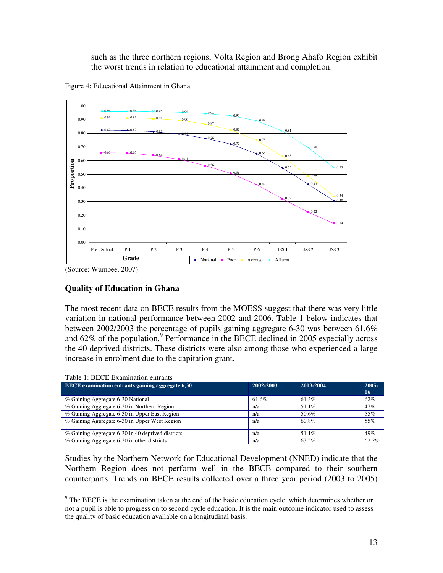such as the three northern regions, Volta Region and Brong Ahafo Region exhibit the worst trends in relation to educational attainment and completion.





(Source: Wumbee, 2007)

 $T<sub>1</sub>$  is become

#### **Quality of Education in Ghana**

The most recent data on BECE results from the MOESS suggest that there was very little variation in national performance between 2002 and 2006. Table 1 below indicates that between 2002/2003 the percentage of pupils gaining aggregate 6-30 was between 61.6% and  $62\%$  of the population.<sup>9</sup> Performance in the BECE declined in 2005 especially across the 40 deprived districts. These districts were also among those who experienced a large increase in enrolment due to the capitation grant.

| Table 1: BECE Examination entrants                |           |           |                             |
|---------------------------------------------------|-----------|-----------|-----------------------------|
| BECE examination entrants gaining aggregate 6,30  | 2002-2003 | 2003-2004 | $2005 -$<br>06 <sup>°</sup> |
| % Gaining Aggregate 6-30 National                 | 61.6%     | 61.3%     | 62%                         |
| % Gaining Aggregate 6-30 in Northern Region       | n/a       | 51.1%     | 47%                         |
| % Gaining Aggregate 6-30 in Upper East Region     | n/a       | 50.6%     | 55%                         |
| % Gaining Aggregate 6-30 in Upper West Region     | n/a       | 60.8%     | 55%                         |
| % Gaining Aggregate 6-30 in 40 deprived districts | n/a       | 51.1%     | 49%                         |
| % Gaining Aggregate 6-30 in other districts       | n/a       | 63.5%     | 62.2%                       |

Studies by the Northern Network for Educational Development (NNED) indicate that the Northern Region does not perform well in the BECE compared to their southern counterparts. Trends on BECE results collected over a three year period (2003 to 2005)

<sup>&</sup>lt;sup>9</sup> The BECE is the examination taken at the end of the basic education cycle, which determines whether or not a pupil is able to progress on to second cycle education. It is the main outcome indicator used to assess the quality of basic education available on a longitudinal basis.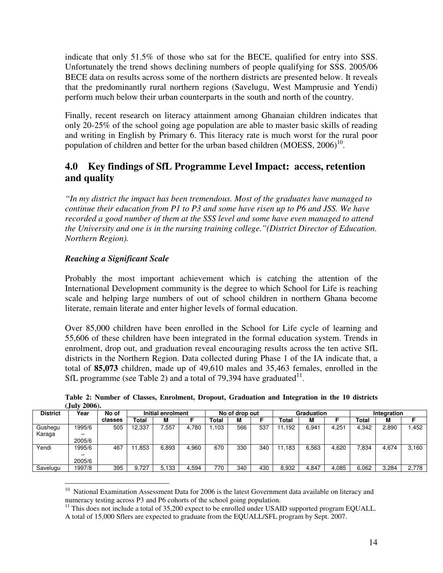indicate that only 51.5% of those who sat for the BECE, qualified for entry into SSS. Unfortunately the trend shows declining numbers of people qualifying for SSS. 2005/06 BECE data on results across some of the northern districts are presented below. It reveals that the predominantly rural northern regions (Savelugu, West Mamprusie and Yendi) perform much below their urban counterparts in the south and north of the country.

Finally, recent research on literacy attainment among Ghanaian children indicates that only 20-25% of the school going age population are able to master basic skills of reading and writing in English by Primary 6. This literacy rate is much worst for the rural poor population of children and better for the urban based children  $(MOESS, 2006)^{10}$ .

## **4.0 Key findings of SfL Programme Level Impact: access, retention and quality**

*"In my district the impact has been tremendous. Most of the graduates have managed to continue their education from P1 to P3 and some have risen up to P6 and JSS. We have recorded a good number of them at the SSS level and some have even managed to attend the University and one is in the nursing training college."(District Director of Education. Northern Region).*

#### *Reaching a Significant Scale*

Probably the most important achievement which is catching the attention of the International Development community is the degree to which School for Life is reaching scale and helping large numbers of out of school children in northern Ghana become literate, remain literate and enter higher levels of formal education.

Over 85,000 children have been enrolled in the School for Life cycle of learning and 55,606 of these children have been integrated in the formal education system. Trends in enrolment, drop out, and graduation reveal encouraging results across the ten active SfL districts in the Northern Region. Data collected during Phase 1 of the IA indicate that, a total of **85,073** children, made up of 49,610 males and 35,463 females, enrolled in the SfL programme (see Table 2) and a total of 79,394 have graduated $^{11}$ .

**Table 2: Number of Classes, Enrolment, Dropout, Graduation and Integration in the 10 districts (July 2006).**

| <b>District</b> | Year   | No of   |        | Initial enrolment |       |       | No of drop out |     |       | Graduation |       | Integration |       |       |
|-----------------|--------|---------|--------|-------------------|-------|-------|----------------|-----|-------|------------|-------|-------------|-------|-------|
|                 |        | classes | Total  | м                 |       | Total | М              |     | Total | м          |       | Total       | М     |       |
| Gushegu         | 1995/6 | 505     | 12.337 | .557              | 4.780 | .103  | 566            | 537 | .192  | 6.941      | 4.251 | 4.342       | 2,890 | .452  |
| Karaga          | -      |         |        |                   |       |       |                |     |       |            |       |             |       |       |
|                 | 2005/6 |         |        |                   |       |       |                |     |       |            |       |             |       |       |
| Yendi           | 1995/6 | 467     | .853   | 6.893             | 4.960 | 670   | 330            | 340 | .183  | 6.563      | 4.620 | 7,834       | 4,674 | 3.160 |
|                 | -      |         |        |                   |       |       |                |     |       |            |       |             |       |       |
|                 | 2005/6 |         |        |                   |       |       |                |     |       |            |       |             |       |       |
| Savelugu        | 1997/8 | 395     | 9.727  | 5,133             | 4.594 | 770   | 340            | 430 | 8.932 | 4,847      | 4.085 | 6.062       | 3.284 | 2.778 |

 $\overline{a}$ <sup>10</sup> National Examination Assessment Data for 2006 is the latest Government data available on literacy and numeracy testing across P3 and P6 cohorts of the school going population.

<sup>&</sup>lt;sup>11</sup> This does not include a total of 35,200 expect to be enrolled under USAID supported program EQUALL.

A total of 15,000 Sflers are expected to graduate from the EQUALL/SFL program by Sept. 2007.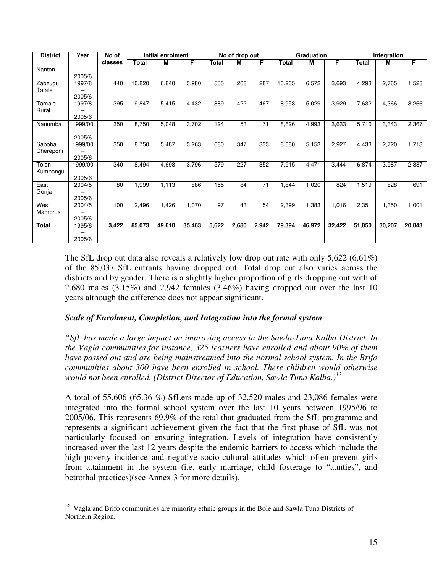| <b>District</b> | Year    | No of   |        | Initial enrolment |        |       | No of drop out |       |        | Graduation |        | Integration |        |        |
|-----------------|---------|---------|--------|-------------------|--------|-------|----------------|-------|--------|------------|--------|-------------|--------|--------|
|                 |         | classes | Total  | м                 | F      | Total | М              | F     | Total  | м          | F      | Total       | M      | F      |
| Nanton          |         |         |        |                   |        |       |                |       |        |            |        |             |        |        |
|                 | 2005/6  |         |        |                   |        |       |                |       |        |            |        |             |        |        |
| Zabzugu         | 1997/8  | 440     | 10,820 | 6,840             | 3,980  | 555   | 268            | 287   | 10,265 | 6,572      | 3,693  | 4,293       | 2,765  | 1,528  |
| Tatale          |         |         |        |                   |        |       |                |       |        |            |        |             |        |        |
|                 | 2005/6  |         |        |                   |        |       |                |       |        |            |        |             |        |        |
| Tamale          | 1997/8  | 395     | 9,847  | 5,415             | 4,432  | 889   | 422            | 467   | 8,958  | 5,029      | 3,929  | 7,632       | 4,366  | 3,266  |
| Rural           |         |         |        |                   |        |       |                |       |        |            |        |             |        |        |
|                 | 2005/6  |         |        |                   |        |       |                |       |        |            |        |             |        |        |
| Nanumba         | 1999/00 | 350     | 8,750  | 5,048             | 3,702  | 124   | 53             | 71    | 8,626  | 4,993      | 3,633  | 5,710       | 3,343  | 2,367  |
|                 |         |         |        |                   |        |       |                |       |        |            |        |             |        |        |
|                 | 2005/6  |         |        |                   |        |       |                |       |        |            |        |             |        |        |
| Saboba          | 1999/00 | 350     | 8,750  | 5,487             | 3,263  | 680   | 347            | 333   | 8,080  | 5,153      | 2,927  | 4,433       | 2,720  | 1,713  |
| Chereponi       |         |         |        |                   |        |       |                |       |        |            |        |             |        |        |
|                 | 2005/6  |         |        |                   |        |       |                |       |        |            |        |             |        |        |
| Tolon           | 1999/00 | 340     | 8,494  | 4,698             | 3,796  | 579   | 227            | 352   | 7,915  | 4,471      | 3,444  | 6,874       | 3,987  | 2,887  |
| Kumbongu        |         |         |        |                   |        |       |                |       |        |            |        |             |        |        |
|                 | 2005/6  |         |        |                   |        |       |                |       |        |            |        |             |        |        |
| East            | 2004/5  | 80      | 1,999  | 1,113             | 886    | 155   | 84             | 71    | 1,844  | 1,020      | 824    | 1,519       | 828    | 691    |
| Gonja           |         |         |        |                   |        |       |                |       |        |            |        |             |        |        |
|                 | 2005/6  |         |        |                   |        |       |                |       |        |            |        |             |        |        |
| West            | 2004/5  | 100     | 2,496  | 1,426             | 1,070  | 97    | 43             | 54    | 2,399  | 1,383      | 1,016  | 2,351       | 1,350  | 1,001  |
| Mamprusi        |         |         |        |                   |        |       |                |       |        |            |        |             |        |        |
|                 | 2005/6  |         |        |                   |        |       |                |       |        |            |        |             |        |        |
| <b>Total</b>    | 1995/6  | 3,422   | 85,073 | 49,610            | 35,463 | 5,622 | 2,680          | 2,942 | 79,394 | 46,972     | 32,422 | 51,050      | 30,207 | 20,843 |
|                 |         |         |        |                   |        |       |                |       |        |            |        |             |        |        |
|                 | 2005/6  |         |        |                   |        |       |                |       |        |            |        |             |        |        |

The SfL drop out data also reveals a relatively low drop out rate with only  $5,622$  (6.61%) of the 85,037 SfL entrants having dropped out. Total drop out also varies across the districts and by gender. There is a slightly higher proportion of girls dropping out with of 2,680 males (3.15%) and 2,942 females (3.46%) having dropped out over the last 10 years although the difference does not appear significant.

#### *Scale of Enrolment, Completion, and Integration into the formal system*

*"SfL has made a large impact on improving access in the Sawla-Tuna Kalba District. In the Vagla communities for instance, 325 learners have enrolled and about 90% of them have passed out and are being mainstreamed into the normal school system. In the Brifo communities about 300 have been enrolled in school. These children would otherwise would not been enrolled. (District Director of Education, Sawla Tuna Kalba.)<sup>12</sup>*

A total of 55,606 (65.36 %) SfLers made up of 32,520 males and 23,086 females were integrated into the formal school system over the last 10 years between 1995/96 to 2005/06. This represents 69.9% of the total that graduated from the SfL programme and represents a significant achievement given the fact that the first phase of SfL was not particularly focused on ensuring integration. Levels of integration have consistently increased over the last 12 years despite the endemic barriers to access which include the high poverty incidence and negative socio-cultural attitudes which often prevent girls from attainment in the system (i.e. early marriage, child fosterage to "aunties", and betrothal practices)(see Annex 3 for more details).

 $\overline{a}$  $12$  Vagla and Brifo communities are minority ethnic groups in the Bole and Sawla Tuna Districts of Northern Region.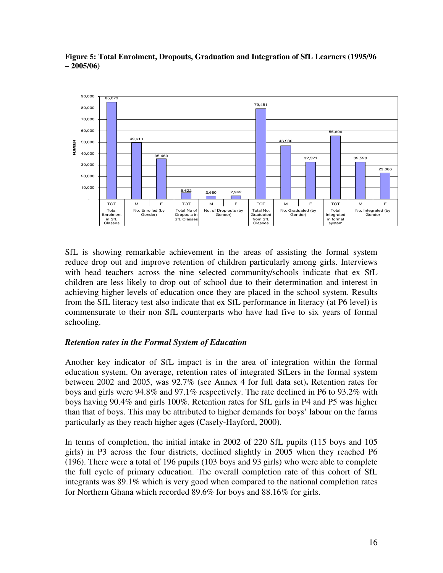

**Figure 5: Total Enrolment, Dropouts, Graduation and Integration of SfL Learners (1995/96 – 2005/06)**

SfL is showing remarkable achievement in the areas of assisting the formal system reduce drop out and improve retention of children particularly among girls. Interviews with head teachers across the nine selected community/schools indicate that ex SfL children are less likely to drop out of school due to their determination and interest in achieving higher levels of education once they are placed in the school system. Results from the SfL literacy test also indicate that ex SfL performance in literacy (at P6 level) is commensurate to their non SfL counterparts who have had five to six years of formal schooling.

#### *Retention rates in the Formal System of Education*

Another key indicator of SfL impact is in the area of integration within the formal education system. On average, retention rates of integrated SfLers in the formal system between 2002 and 2005, was 92.7% (see Annex 4 for full data set)**.** Retention rates for boys and girls were 94.8% and 97.1% respectively. The rate declined in P6 to 93.2% with boys having 90.4% and girls 100%. Retention rates for SfL girls in P4 and P5 was higher than that of boys. This may be attributed to higher demands for boys' labour on the farms particularly as they reach higher ages (Casely-Hayford, 2000).

In terms of completion, the initial intake in 2002 of 220 SfL pupils (115 boys and 105 girls) in P3 across the four districts, declined slightly in 2005 when they reached P6 (196). There were a total of 196 pupils (103 boys and 93 girls) who were able to complete the full cycle of primary education. The overall completion rate of this cohort of SfL integrants was 89.1% which is very good when compared to the national completion rates for Northern Ghana which recorded 89.6% for boys and 88.16% for girls.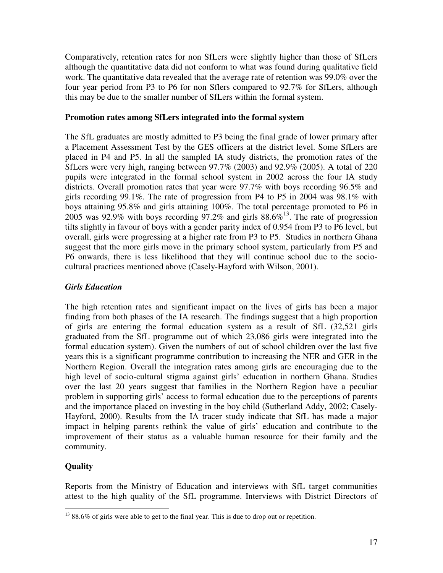Comparatively, retention rates for non SfLers were slightly higher than those of SfLers although the quantitative data did not conform to what was found during qualitative field work. The quantitative data revealed that the average rate of retention was 99.0% over the four year period from P3 to P6 for non Sflers compared to 92.7% for SfLers, although this may be due to the smaller number of SfLers within the formal system.

#### **Promotion rates among SfLers integrated into the formal system**

The SfL graduates are mostly admitted to P3 being the final grade of lower primary after a Placement Assessment Test by the GES officers at the district level. Some SfLers are placed in P4 and P5. In all the sampled IA study districts, the promotion rates of the SfLers were very high, ranging between 97.7% (2003) and 92.9% (2005). A total of 220 pupils were integrated in the formal school system in 2002 across the four IA study districts. Overall promotion rates that year were 97.7% with boys recording 96.5% and girls recording 99.1%. The rate of progression from P4 to P5 in 2004 was 98.1% with boys attaining 95.8% and girls attaining 100%. The total percentage promoted to P6 in 2005 was 92.9% with boys recording 97.2% and girls  $88.6\%$ <sup>13</sup>. The rate of progression tilts slightly in favour of boys with a gender parity index of 0.954 from P3 to P6 level, but overall, girls were progressing at a higher rate from P3 to P5. Studies in northern Ghana suggest that the more girls move in the primary school system, particularly from P5 and P6 onwards, there is less likelihood that they will continue school due to the sociocultural practices mentioned above (Casely-Hayford with Wilson, 2001).

#### *Girls Education*

The high retention rates and significant impact on the lives of girls has been a major finding from both phases of the IA research. The findings suggest that a high proportion of girls are entering the formal education system as a result of SfL (32,521 girls graduated from the SfL programme out of which 23,086 girls were integrated into the formal education system). Given the numbers of out of school children over the last five years this is a significant programme contribution to increasing the NER and GER in the Northern Region. Overall the integration rates among girls are encouraging due to the high level of socio-cultural stigma against girls' education in northern Ghana. Studies over the last 20 years suggest that families in the Northern Region have a peculiar problem in supporting girls' access to formal education due to the perceptions of parents and the importance placed on investing in the boy child (Sutherland Addy, 2002; Casely-Hayford, 2000). Results from the IA tracer study indicate that SfL has made a major impact in helping parents rethink the value of girls' education and contribute to the improvement of their status as a valuable human resource for their family and the community.

#### **Quality**

 $\overline{a}$ 

Reports from the Ministry of Education and interviews with SfL target communities attest to the high quality of the SfL programme. Interviews with District Directors of

 $1388.6\%$  of girls were able to get to the final year. This is due to drop out or repetition.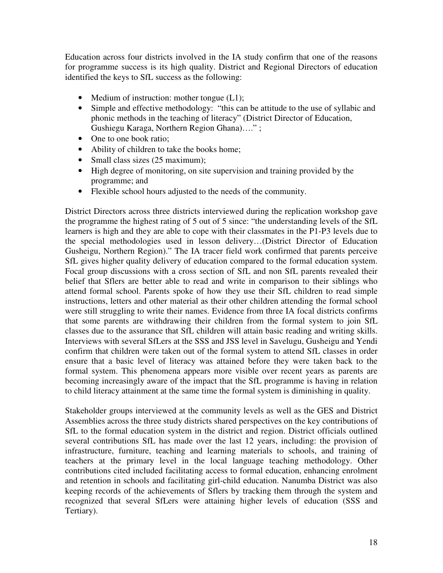Education across four districts involved in the IA study confirm that one of the reasons for programme success is its high quality. District and Regional Directors of education identified the keys to SfL success as the following:

- Medium of instruction: mother tongue (L1);
- Simple and effective methodology: "this can be attitude to the use of syllabic and phonic methods in the teaching of literacy" (District Director of Education, Gushiegu Karaga, Northern Region Ghana)…." ;
- One to one book ratio;
- Ability of children to take the books home;
- Small class sizes (25 maximum);
- High degree of monitoring, on site supervision and training provided by the programme; and
- Flexible school hours adjusted to the needs of the community.

District Directors across three districts interviewed during the replication workshop gave the programme the highest rating of 5 out of 5 since: "the understanding levels of the SfL learners is high and they are able to cope with their classmates in the P1-P3 levels due to the special methodologies used in lesson delivery…(District Director of Education Gusheigu, Northern Region)." The IA tracer field work confirmed that parents perceive SfL gives higher quality delivery of education compared to the formal education system. Focal group discussions with a cross section of SfL and non SfL parents revealed their belief that Sflers are better able to read and write in comparison to their siblings who attend formal school. Parents spoke of how they use their SfL children to read simple instructions, letters and other material as their other children attending the formal school were still struggling to write their names. Evidence from three IA focal districts confirms that some parents are withdrawing their children from the formal system to join SfL classes due to the assurance that SfL children will attain basic reading and writing skills. Interviews with several SfLers at the SSS and JSS level in Savelugu, Gusheigu and Yendi confirm that children were taken out of the formal system to attend SfL classes in order ensure that a basic level of literacy was attained before they were taken back to the formal system. This phenomena appears more visible over recent years as parents are becoming increasingly aware of the impact that the SfL programme is having in relation to child literacy attainment at the same time the formal system is diminishing in quality.

Stakeholder groups interviewed at the community levels as well as the GES and District Assemblies across the three study districts shared perspectives on the key contributions of SfL to the formal education system in the district and region. District officials outlined several contributions SfL has made over the last 12 years, including: the provision of infrastructure, furniture, teaching and learning materials to schools, and training of teachers at the primary level in the local language teaching methodology. Other contributions cited included facilitating access to formal education, enhancing enrolment and retention in schools and facilitating girl-child education. Nanumba District was also keeping records of the achievements of Sflers by tracking them through the system and recognized that several SfLers were attaining higher levels of education (SSS and Tertiary).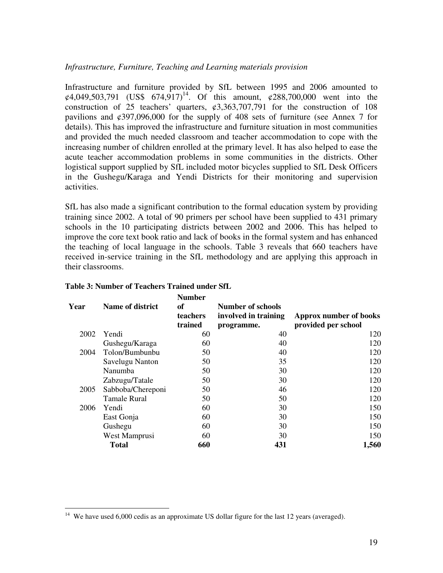#### *Infrastructure, Furniture, Teaching and Learning materials provision*

Infrastructure and furniture provided by SfL between 1995 and 2006 amounted to  $\varphi$ 4,049,503,791 (US\$ 674,917)<sup>14</sup>. Of this amount,  $\varphi$ 288,700,000 went into the construction of 25 teachers' quarters,  $\dot{\varphi}$ 3,363,707,791 for the construction of 108 pavilions and ¢397,096,000 for the supply of 408 sets of furniture (see Annex 7 for details). This has improved the infrastructure and furniture situation in most communities and provided the much needed classroom and teacher accommodation to cope with the increasing number of children enrolled at the primary level. It has also helped to ease the acute teacher accommodation problems in some communities in the districts. Other logistical support supplied by SfL included motor bicycles supplied to SfL Desk Officers in the Gushegu/Karaga and Yendi Districts for their monitoring and supervision activities.

SfL has also made a significant contribution to the formal education system by providing training since 2002. A total of 90 primers per school have been supplied to 431 primary schools in the 10 participating districts between 2002 and 2006. This has helped to improve the core text book ratio and lack of books in the formal system and has enhanced the teaching of local language in the schools. Table 3 reveals that 660 teachers have received in-service training in the SfL methodology and are applying this approach in their classrooms.

| Year | <b>Name of district</b> | <b>Number</b><br><b>of</b><br><b>teachers</b><br>trained | Number of schools<br>involved in training<br>programme. | Approx number of books<br>provided per school |  |  |
|------|-------------------------|----------------------------------------------------------|---------------------------------------------------------|-----------------------------------------------|--|--|
| 2002 | Yendi                   | 60                                                       | 40                                                      | 120                                           |  |  |
|      | Gushegu/Karaga          | 60                                                       | 40                                                      | 120                                           |  |  |
| 2004 | Tolon/Bumbunbu          | 50                                                       | 40                                                      | 120                                           |  |  |
|      | Savelugu Nanton         | 50                                                       | 35                                                      | 120                                           |  |  |
|      | Nanumba                 | 50                                                       | 30                                                      | 120                                           |  |  |
|      | Zabzugu/Tatale          | 50                                                       | 30                                                      | 120                                           |  |  |
| 2005 | Sabboba/Chereponi       | 50                                                       | 46                                                      | 120                                           |  |  |
|      | <b>Tamale Rural</b>     | 50                                                       | 50                                                      | 120                                           |  |  |
| 2006 | Yendi                   | 60                                                       | 30                                                      | 150                                           |  |  |
|      | East Gonja              | 60                                                       | 30                                                      | 150                                           |  |  |
|      | Gushegu                 | 60                                                       | 30                                                      | 150                                           |  |  |
|      | West Mamprusi           | 60                                                       | 30                                                      | 150                                           |  |  |
|      | <b>Total</b>            | 660                                                      | 431                                                     | 1,560                                         |  |  |

#### **Table 3: Number of Teachers Trained under SfL**

 $\overline{a}$ 

<sup>&</sup>lt;sup>14</sup> We have used 6,000 cedis as an approximate US dollar figure for the last 12 years (averaged).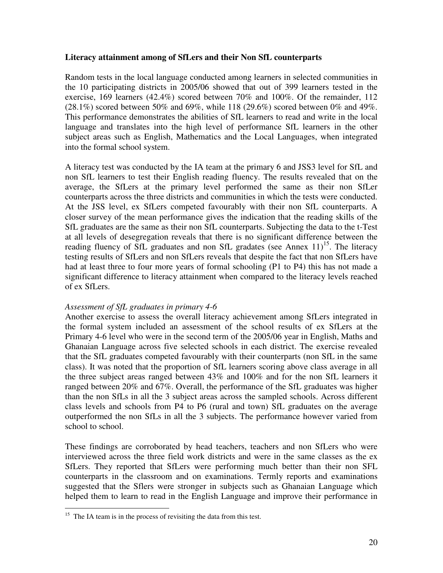#### **Literacy attainment among of SfLers and their Non SfL counterparts**

Random tests in the local language conducted among learners in selected communities in the 10 participating districts in 2005/06 showed that out of 399 learners tested in the exercise, 169 learners (42.4%) scored between 70% and 100%. Of the remainder, 112  $(28.1\%)$  scored between 50% and 69%, while 118 (29.6%) scored between 0% and 49%. This performance demonstrates the abilities of SfL learners to read and write in the local language and translates into the high level of performance SfL learners in the other subject areas such as English, Mathematics and the Local Languages, when integrated into the formal school system.

A literacy test was conducted by the IA team at the primary 6 and JSS3 level for SfL and non SfL learners to test their English reading fluency. The results revealed that on the average, the SfLers at the primary level performed the same as their non SfLer counterparts across the three districts and communities in which the tests were conducted. At the JSS level, ex SfLers competed favourably with their non SfL counterparts. A closer survey of the mean performance gives the indication that the reading skills of the SfL graduates are the same as their non SfL counterparts. Subjecting the data to the t-Test at all levels of desegregation reveals that there is no significant difference between the reading fluency of SfL graduates and non SfL gradates (see Annex  $11$ )<sup>15</sup>. The literacy testing results of SfLers and non SfLers reveals that despite the fact that non SfLers have had at least three to four more years of formal schooling (P1 to P4) this has not made a significant difference to literacy attainment when compared to the literacy levels reached of ex SfLers.

#### *Assessment of SfL graduates in primary 4-6*

Another exercise to assess the overall literacy achievement among SfLers integrated in the formal system included an assessment of the school results of ex SfLers at the Primary 4-6 level who were in the second term of the 2005/06 year in English, Maths and Ghanaian Language across five selected schools in each district. The exercise revealed that the SfL graduates competed favourably with their counterparts (non SfL in the same class). It was noted that the proportion of SfL learners scoring above class average in all the three subject areas ranged between 43% and 100% and for the non SfL learners it ranged between 20% and 67%. Overall, the performance of the SfL graduates was higher than the non SfLs in all the 3 subject areas across the sampled schools. Across different class levels and schools from P4 to P6 (rural and town) SfL graduates on the average outperformed the non SfLs in all the 3 subjects. The performance however varied from school to school.

These findings are corroborated by head teachers, teachers and non SfLers who were interviewed across the three field work districts and were in the same classes as the ex SfLers. They reported that SfLers were performing much better than their non SFL counterparts in the classroom and on examinations. Termly reports and examinations suggested that the Sflers were stronger in subjects such as Ghanaian Language which helped them to learn to read in the English Language and improve their performance in

 $\overline{a}$ 

 $15$  The IA team is in the process of revisiting the data from this test.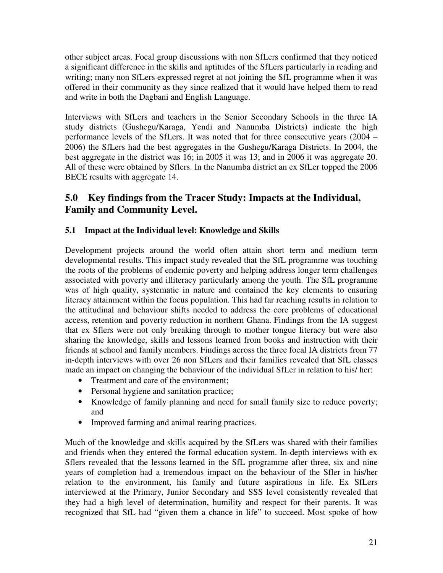other subject areas. Focal group discussions with non SfLers confirmed that they noticed a significant difference in the skills and aptitudes of the SfLers particularly in reading and writing; many non SfLers expressed regret at not joining the SfL programme when it was offered in their community as they since realized that it would have helped them to read and write in both the Dagbani and English Language.

Interviews with SfLers and teachers in the Senior Secondary Schools in the three IA study districts (Gushegu/Karaga, Yendi and Nanumba Districts) indicate the high performance levels of the SfLers. It was noted that for three consecutive years (2004 – 2006) the SfLers had the best aggregates in the Gushegu/Karaga Districts. In 2004, the best aggregate in the district was 16; in 2005 it was 13; and in 2006 it was aggregate 20. All of these were obtained by Sflers. In the Nanumba district an ex SfLer topped the 2006 BECE results with aggregate 14.

## **5.0 Key findings from the Tracer Study: Impacts at the Individual, Family and Community Level.**

#### **5.1 Impact at the Individual level: Knowledge and Skills**

Development projects around the world often attain short term and medium term developmental results. This impact study revealed that the SfL programme was touching the roots of the problems of endemic poverty and helping address longer term challenges associated with poverty and illiteracy particularly among the youth. The SfL programme was of high quality, systematic in nature and contained the key elements to ensuring literacy attainment within the focus population. This had far reaching results in relation to the attitudinal and behaviour shifts needed to address the core problems of educational access, retention and poverty reduction in northern Ghana. Findings from the IA suggest that ex Sflers were not only breaking through to mother tongue literacy but were also sharing the knowledge, skills and lessons learned from books and instruction with their friends at school and family members. Findings across the three focal IA districts from 77 in-depth interviews with over 26 non SfLers and their families revealed that SfL classes made an impact on changing the behaviour of the individual SfLer in relation to his/ her:

- Treatment and care of the environment;
- Personal hygiene and sanitation practice;
- Knowledge of family planning and need for small family size to reduce poverty; and
- Improved farming and animal rearing practices.

Much of the knowledge and skills acquired by the SfLers was shared with their families and friends when they entered the formal education system. In-depth interviews with ex Sflers revealed that the lessons learned in the SfL programme after three, six and nine years of completion had a tremendous impact on the behaviour of the Sfler in his/her relation to the environment, his family and future aspirations in life. Ex SfLers interviewed at the Primary, Junior Secondary and SSS level consistently revealed that they had a high level of determination, humility and respect for their parents. It was recognized that SfL had "given them a chance in life" to succeed. Most spoke of how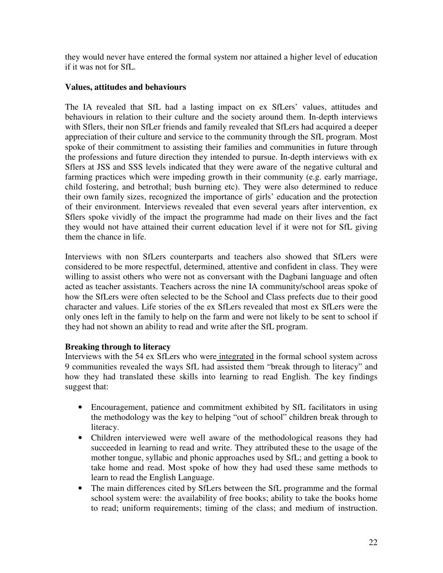they would never have entered the formal system nor attained a higher level of education if it was not for SfL.

#### **Values, attitudes and behaviours**

The IA revealed that SfL had a lasting impact on ex SfLers' values, attitudes and behaviours in relation to their culture and the society around them. In-depth interviews with Sflers, their non SfLer friends and family revealed that SfLers had acquired a deeper appreciation of their culture and service to the community through the SfL program. Most spoke of their commitment to assisting their families and communities in future through the professions and future direction they intended to pursue. In-depth interviews with ex Sflers at JSS and SSS levels indicated that they were aware of the negative cultural and farming practices which were impeding growth in their community (e.g. early marriage, child fostering, and betrothal; bush burning etc). They were also determined to reduce their own family sizes, recognized the importance of girls' education and the protection of their environment. Interviews revealed that even several years after intervention, ex Sflers spoke vividly of the impact the programme had made on their lives and the fact they would not have attained their current education level if it were not for SfL giving them the chance in life.

Interviews with non SfLers counterparts and teachers also showed that SfLers were considered to be more respectful, determined, attentive and confident in class. They were willing to assist others who were not as conversant with the Dagbani language and often acted as teacher assistants. Teachers across the nine IA community/school areas spoke of how the SfLers were often selected to be the School and Class prefects due to their good character and values. Life stories of the ex SfLers revealed that most ex SfLers were the only ones left in the family to help on the farm and were not likely to be sent to school if they had not shown an ability to read and write after the SfL program.

#### **Breaking through to literacy**

Interviews with the 54 ex SfLers who were integrated in the formal school system across 9 communities revealed the ways SfL had assisted them "break through to literacy" and how they had translated these skills into learning to read English. The key findings suggest that:

- Encouragement, patience and commitment exhibited by SfL facilitators in using the methodology was the key to helping "out of school" children break through to literacy.
- Children interviewed were well aware of the methodological reasons they had succeeded in learning to read and write. They attributed these to the usage of the mother tongue, syllabic and phonic approaches used by SfL; and getting a book to take home and read. Most spoke of how they had used these same methods to learn to read the English Language.
- The main differences cited by SfLers between the SfL programme and the formal school system were: the availability of free books; ability to take the books home to read; uniform requirements; timing of the class; and medium of instruction.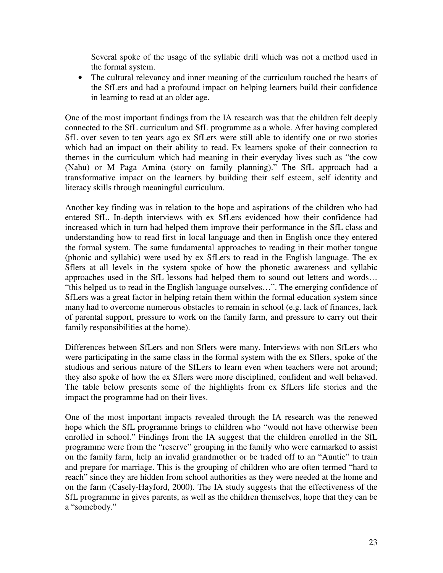Several spoke of the usage of the syllabic drill which was not a method used in the formal system.

• The cultural relevancy and inner meaning of the curriculum touched the hearts of the SfLers and had a profound impact on helping learners build their confidence in learning to read at an older age.

One of the most important findings from the IA research was that the children felt deeply connected to the SfL curriculum and SfL programme as a whole. After having completed SfL over seven to ten years ago ex SfLers were still able to identify one or two stories which had an impact on their ability to read. Ex learners spoke of their connection to themes in the curriculum which had meaning in their everyday lives such as "the cow (Nahu) or M Paga Amina (story on family planning)." The SfL approach had a transformative impact on the learners by building their self esteem, self identity and literacy skills through meaningful curriculum.

Another key finding was in relation to the hope and aspirations of the children who had entered SfL. In-depth interviews with ex SfLers evidenced how their confidence had increased which in turn had helped them improve their performance in the SfL class and understanding how to read first in local language and then in English once they entered the formal system. The same fundamental approaches to reading in their mother tongue (phonic and syllabic) were used by ex SfLers to read in the English language. The ex Sflers at all levels in the system spoke of how the phonetic awareness and syllabic approaches used in the SfL lessons had helped them to sound out letters and words… "this helped us to read in the English language ourselves…". The emerging confidence of SfLers was a great factor in helping retain them within the formal education system since many had to overcome numerous obstacles to remain in school (e.g. lack of finances, lack of parental support, pressure to work on the family farm, and pressure to carry out their family responsibilities at the home).

Differences between SfLers and non Sflers were many. Interviews with non SfLers who were participating in the same class in the formal system with the ex Sflers, spoke of the studious and serious nature of the SfLers to learn even when teachers were not around; they also spoke of how the ex Sflers were more disciplined, confident and well behaved. The table below presents some of the highlights from ex SfLers life stories and the impact the programme had on their lives.

One of the most important impacts revealed through the IA research was the renewed hope which the SfL programme brings to children who "would not have otherwise been enrolled in school." Findings from the IA suggest that the children enrolled in the SfL programme were from the "reserve" grouping in the family who were earmarked to assist on the family farm, help an invalid grandmother or be traded off to an "Auntie" to train and prepare for marriage. This is the grouping of children who are often termed "hard to reach" since they are hidden from school authorities as they were needed at the home and on the farm (Casely-Hayford, 2000). The IA study suggests that the effectiveness of the SfL programme in gives parents, as well as the children themselves, hope that they can be a "somebody."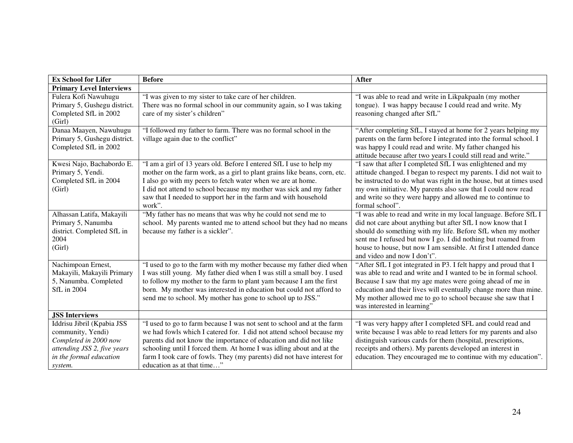| <b>Ex School for Lifer</b>                                                                                                                    | <b>Before</b>                                                                                                                                                                                                                                                                                                                                                                                       | <b>After</b>                                                                                                                                                                                                                                                                                                                                                       |
|-----------------------------------------------------------------------------------------------------------------------------------------------|-----------------------------------------------------------------------------------------------------------------------------------------------------------------------------------------------------------------------------------------------------------------------------------------------------------------------------------------------------------------------------------------------------|--------------------------------------------------------------------------------------------------------------------------------------------------------------------------------------------------------------------------------------------------------------------------------------------------------------------------------------------------------------------|
| <b>Primary Level Interviews</b>                                                                                                               |                                                                                                                                                                                                                                                                                                                                                                                                     |                                                                                                                                                                                                                                                                                                                                                                    |
| Fulera Kofi Nawuhugu<br>Primary 5, Gushegu district.<br>Completed SfL in 2002<br>(Girl)                                                       | "I was given to my sister to take care of her children.<br>There was no formal school in our community again, so I was taking<br>care of my sister's children"                                                                                                                                                                                                                                      | "I was able to read and write in Likpakpaaln (my mother<br>tongue). I was happy because I could read and write. My<br>reasoning changed after SfL"                                                                                                                                                                                                                 |
| Danaa Maayen, Nawuhugu<br>Primary 5, Gushegu district.<br>Completed SfL in 2002                                                               | "I followed my father to farm. There was no formal school in the<br>village again due to the conflict"                                                                                                                                                                                                                                                                                              | "After completing SfL, I stayed at home for 2 years helping my<br>parents on the farm before I integrated into the formal school. I<br>was happy I could read and write. My father changed his<br>attitude because after two years I could still read and write."                                                                                                  |
| Kwesi Najo, Bachabordo E.<br>Primary 5, Yendi.<br>Completed SfL in 2004<br>(Girl)                                                             | "I am a girl of 13 years old. Before I entered SfL I use to help my<br>mother on the farm work, as a girl to plant grains like beans, corn, etc.<br>I also go with my peers to fetch water when we are at home.<br>I did not attend to school because my mother was sick and my father<br>saw that I needed to support her in the farm and with household<br>work".                                 | "I saw that after I completed SfL I was enlightened and my<br>attitude changed. I began to respect my parents. I did not wait to<br>be instructed to do what was right in the house, but at times used<br>my own initiative. My parents also saw that I could now read<br>and write so they were happy and allowed me to continue to<br>formal school".            |
| Alhassan Latifa, Makayili<br>Primary 5, Nanumba<br>district. Completed SfL in<br>2004<br>(Girl)                                               | "My father has no means that was why he could not send me to<br>school. My parents wanted me to attend school but they had no means<br>because my father is a sickler".                                                                                                                                                                                                                             | "I was able to read and write in my local language. Before SfL I<br>did not care about anything but after SfL I now know that I<br>should do something with my life. Before SfL when my mother<br>sent me I refused but now I go. I did nothing but roamed from<br>house to house, but now I am sensible. At first I attended dance<br>and video and now I don't". |
| Nachimpoan Ernest,<br>Makayili, Makayili Primary<br>5, Nanumba. Completed<br>SfL in 2004                                                      | "I used to go to the farm with my mother because my father died when<br>I was still young. My father died when I was still a small boy. I used<br>to follow my mother to the farm to plant yam because I am the first<br>born. My mother was interested in education but could not afford to<br>send me to school. My mother has gone to school up to JSS."                                         | "After SfL I got integrated in P3. I felt happy and proud that I<br>was able to read and write and I wanted to be in formal school.<br>Because I saw that my age mates were going ahead of me in<br>education and their lives will eventually change more than mine.<br>My mother allowed me to go to school because she saw that I<br>was interested in learning" |
| <b>JSS Interviews</b>                                                                                                                         |                                                                                                                                                                                                                                                                                                                                                                                                     |                                                                                                                                                                                                                                                                                                                                                                    |
| Iddrisu Jibril (Kpabia JSS<br>community, Yendi)<br>Completed in 2000 now<br>attending JSS 2, five years<br>in the formal education<br>system. | "I used to go to farm because I was not sent to school and at the farm<br>we had fowls which I catered for. I did not attend school because my<br>parents did not know the importance of education and did not like<br>schooling until I forced them. At home I was idling about and at the<br>farm I took care of fowls. They (my parents) did not have interest for<br>education as at that time" | "I was very happy after I completed SFL and could read and<br>write because I was able to read letters for my parents and also<br>distinguish various cards for them (hospital, prescriptions,<br>receipts and others). My parents developed an interest in<br>education. They encouraged me to continue with my education".                                       |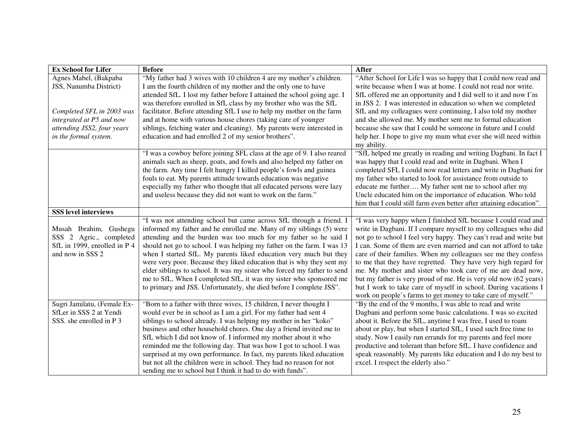| <b>Ex School for Lifer</b>   | <b>Before</b>                                                            | <b>After</b>                                                        |
|------------------------------|--------------------------------------------------------------------------|---------------------------------------------------------------------|
| Agnes Mabel, (Bakpaba        | "My father had 3 wives with 10 children 4 are my mother's children.      | "After School for Life I was so happy that I could now read and     |
| JSS, Nanumba District)       | I am the fourth children of my mother and the only one to have           | write because when I was at home. I could not read nor write.       |
|                              | attended SfL. I lost my father before I attained the school going age. I | SfL offered me an opportunity and I did well to it and now I'm      |
|                              | was therefore enrolled in SfL class by my brother who was the SfL        | in JSS 2. I was interested in education so when we completed        |
| Completed SFL in 2003 was    | facilitator. Before attending SfL I use to help my mother on the farm    | SfL and my colleagues were continuing, I also told my mother        |
| integrated at P5 and now     | and at home with various house chores (taking care of younger            | and she allowed me. My mother sent me to formal education           |
| attending JSS2, four years   | siblings, fetching water and cleaning). My parents were interested in    | because she saw that I could be someone in future and I could       |
| in the formal system.        | education and had enrolled 2 of my senior brothers".                     | help her. I hope to give my mum what ever she will need within      |
|                              |                                                                          | my ability.                                                         |
|                              | "I was a cowboy before joining SFL class at the age of 9. I also reared  | "SfL helped me greatly in reading and writing Dagbani. In fact I    |
|                              | animals such as sheep, goats, and fowls and also helped my father on     | was happy that I could read and write in Dagbani. When I            |
|                              | the farm. Any time I felt hungry I killed people's fowls and guinea      | completed SFL I could now read letters and write in Dagbani for     |
|                              | fouls to eat. My parents attitude towards education was negative         | my father who started to look for assistance from outside to        |
|                              | especially my father who thought that all educated persons were lazy     | educate me further My father sent me to school after my             |
|                              | and useless because they did not want to work on the farm."              | Uncle educated him on the importance of education. Who told         |
|                              |                                                                          | him that I could still farm even better after attaining education". |
| <b>SSS level interviews</b>  |                                                                          |                                                                     |
|                              | "I was not attending school but came across SfL through a friend. I      | "I was very happy when I finished SfL because I could read and      |
| Musah Ibrahim, Gushegu       | informed my father and he enrolled me. Many of my siblings (5) were      | write in Dagbani. If I compare myself to my colleagues who did      |
| SSS 2 Agric., completed      | attending and the burden was too much for my father so he said I         | not go to school I feel very happy. They can't read and write but   |
| SfL in 1999, enrolled in P 4 | should not go to school. I was helping my father on the farm. I was 13   | I can. Some of them are even married and can not afford to take     |
| and now in SSS 2             | when I started SfL. My parents liked education very much but they        | care of their families. When my colleagues see me they confess      |
|                              | were very poor. Because they liked education that is why they sent my    | to me that they have regretted. They have very high regard for      |
|                              | elder siblings to school. It was my sister who forced my father to send  | me. My mother and sister who took care of me are dead now,          |
|                              | me to SfL. When I completed SfL, it was my sister who sponsored me       | but my father is very proud of me. He is very old now (62 years)    |
|                              | to primary and JSS. Unfortunately, she died before I complete JSS".      | but I work to take care of myself in school. During vacations I     |
|                              |                                                                          | work on people's farms to get money to take care of myself."        |
| Sugri Jamilatu, (Female Ex-  | "Born to a father with three wives, 15 children, I never thought I       | "By the end of the 9 months, I was able to read and write           |
| SfLer in SSS 2 at Yendi      | would ever be in school as I am a girl. For my father had sent 4         | Dagbani and perform some basic calculations. I was so excited       |
| SSS. she enrolled in P 3     | siblings to school already. I was helping my mother in her "koko"        | about it. Before the SfL, anytime I was free, I used to roam        |
|                              | business and other household chores. One day a friend invited me to      | about or play, but when I started SfL, I used such free time to     |
|                              | SfL which I did not know of. I informed my mother about it who           | study. Now I easily run errands for my parents and feel more        |
|                              | reminded me the following day. That was how I got to school. I was       | productive and tolerant than before SfL. I have confidence and      |
|                              | surprised at my own performance. In fact, my parents liked education     | speak reasonably. My parents like education and I do my best to     |
|                              | but not all the children were in school. They had no reason for not      | excel. I respect the elderly also."                                 |
|                              | sending me to school but I think it had to do with funds".               |                                                                     |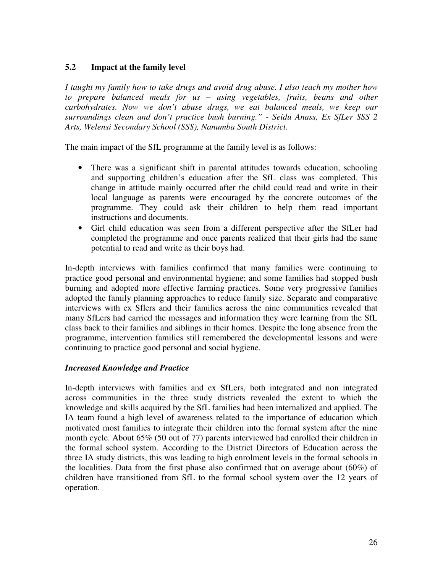#### **5.2 Impact at the family level**

*I taught my family how to take drugs and avoid drug abuse. I also teach my mother how to prepare balanced meals for us – using vegetables, fruits, beans and other carbohydrates. Now we don't abuse drugs, we eat balanced meals, we keep our surroundings clean and don't practice bush burning." - Seidu Anass, Ex SfLer SSS 2 Arts, Welensi Secondary School (SSS), Nanumba South District.* 

The main impact of the SfL programme at the family level is as follows:

- There was a significant shift in parental attitudes towards education, schooling and supporting children's education after the SfL class was completed. This change in attitude mainly occurred after the child could read and write in their local language as parents were encouraged by the concrete outcomes of the programme. They could ask their children to help them read important instructions and documents.
- Girl child education was seen from a different perspective after the SfLer had completed the programme and once parents realized that their girls had the same potential to read and write as their boys had.

In-depth interviews with families confirmed that many families were continuing to practice good personal and environmental hygiene; and some families had stopped bush burning and adopted more effective farming practices. Some very progressive families adopted the family planning approaches to reduce family size. Separate and comparative interviews with ex Sflers and their families across the nine communities revealed that many SfLers had carried the messages and information they were learning from the SfL class back to their families and siblings in their homes. Despite the long absence from the programme, intervention families still remembered the developmental lessons and were continuing to practice good personal and social hygiene.

#### *Increased Knowledge and Practice*

In-depth interviews with families and ex SfLers, both integrated and non integrated across communities in the three study districts revealed the extent to which the knowledge and skills acquired by the SfL families had been internalized and applied. The IA team found a high level of awareness related to the importance of education which motivated most families to integrate their children into the formal system after the nine month cycle. About 65% (50 out of 77) parents interviewed had enrolled their children in the formal school system. According to the District Directors of Education across the three IA study districts, this was leading to high enrolment levels in the formal schools in the localities. Data from the first phase also confirmed that on average about (60%) of children have transitioned from SfL to the formal school system over the 12 years of operation.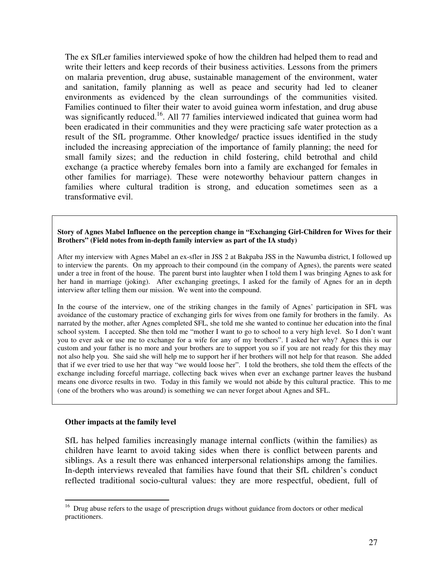The ex SfLer families interviewed spoke of how the children had helped them to read and write their letters and keep records of their business activities. Lessons from the primers on malaria prevention, drug abuse, sustainable management of the environment, water and sanitation, family planning as well as peace and security had led to cleaner environments as evidenced by the clean surroundings of the communities visited. Families continued to filter their water to avoid guinea worm infestation, and drug abuse was significantly reduced.<sup>16</sup>. All 77 families interviewed indicated that guinea worm had been eradicated in their communities and they were practicing safe water protection as a result of the SfL programme. Other knowledge/ practice issues identified in the study included the increasing appreciation of the importance of family planning; the need for small family sizes; and the reduction in child fostering, child betrothal and child exchange (a practice whereby females born into a family are exchanged for females in other families for marriage). These were noteworthy behaviour pattern changes in families where cultural tradition is strong, and education sometimes seen as a transformative evil.

**Story of Agnes Mabel Influence on the perception change in "Exchanging Girl-Children for Wives for their Brothers" (Field notes from in-depth family interview as part of the IA study)** 

After my interview with Agnes Mabel an ex-sfler in JSS 2 at Bakpaba JSS in the Nawumba district, I followed up to interview the parents. On my approach to their compound (in the company of Agnes), the parents were seated under a tree in front of the house. The parent burst into laughter when I told them I was bringing Agnes to ask for her hand in marriage (joking). After exchanging greetings, I asked for the family of Agnes for an in depth interview after telling them our mission. We went into the compound.

In the course of the interview, one of the striking changes in the family of Agnes' participation in SFL was avoidance of the customary practice of exchanging girls for wives from one family for brothers in the family. As narrated by the mother, after Agnes completed SFL, she told me she wanted to continue her education into the final school system. I accepted. She then told me "mother I want to go to school to a very high level. So I don't want you to ever ask or use me to exchange for a wife for any of my brothers". I asked her why? Agnes this is our custom and your father is no more and your brothers are to support you so if you are not ready for this they may not also help you. She said she will help me to support her if her brothers will not help for that reason. She added that if we ever tried to use her that way "we would loose her". I told the brothers, she told them the effects of the exchange including forceful marriage, collecting back wives when ever an exchange partner leaves the husband means one divorce results in two. Today in this family we would not abide by this cultural practice. This to me (one of the brothers who was around) is something we can never forget about Agnes and SFL.

#### **Other impacts at the family level**

 $\overline{a}$ 

SfL has helped families increasingly manage internal conflicts (within the families) as children have learnt to avoid taking sides when there is conflict between parents and siblings. As a result there was enhanced interpersonal relationships among the families. In-depth interviews revealed that families have found that their SfL children's conduct reflected traditional socio-cultural values: they are more respectful, obedient, full of

<sup>&</sup>lt;sup>16</sup> Drug abuse refers to the usage of prescription drugs without guidance from doctors or other medical practitioners.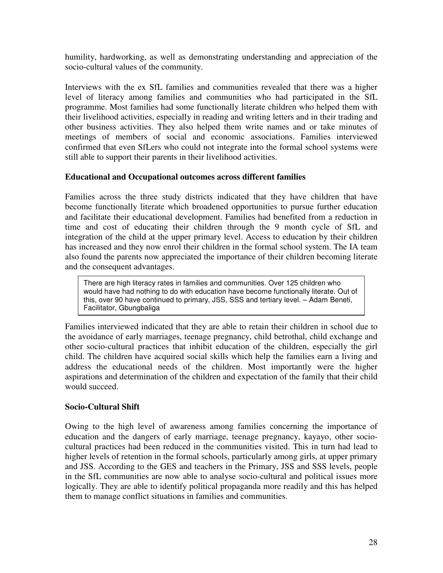humility, hardworking, as well as demonstrating understanding and appreciation of the socio-cultural values of the community.

Interviews with the ex SfL families and communities revealed that there was a higher level of literacy among families and communities who had participated in the SfL programme. Most families had some functionally literate children who helped them with their livelihood activities, especially in reading and writing letters and in their trading and other business activities. They also helped them write names and or take minutes of meetings of members of social and economic associations. Families interviewed confirmed that even SfLers who could not integrate into the formal school systems were still able to support their parents in their livelihood activities.

#### **Educational and Occupational outcomes across different families**

Families across the three study districts indicated that they have children that have become functionally literate which broadened opportunities to pursue further education and facilitate their educational development. Families had benefited from a reduction in time and cost of educating their children through the 9 month cycle of SfL and integration of the child at the upper primary level. Access to education by their children has increased and they now enrol their children in the formal school system. The IA team also found the parents now appreciated the importance of their children becoming literate and the consequent advantages.

There are high literacy rates in families and communities. Over 125 children who would have had nothing to do with education have become functionally literate. Out of this, over 90 have continued to primary, JSS, SSS and tertiary level. – Adam Beneti, Facilitator, Gbungbaliga

Families interviewed indicated that they are able to retain their children in school due to the avoidance of early marriages, teenage pregnancy, child betrothal, child exchange and other socio-cultural practices that inhibit education of the children, especially the girl child. The children have acquired social skills which help the families earn a living and address the educational needs of the children. Most importantly were the higher aspirations and determination of the children and expectation of the family that their child would succeed.

#### **Socio-Cultural Shift**

Owing to the high level of awareness among families concerning the importance of education and the dangers of early marriage, teenage pregnancy, kayayo, other sociocultural practices had been reduced in the communities visited. This in turn had lead to higher levels of retention in the formal schools, particularly among girls, at upper primary and JSS. According to the GES and teachers in the Primary, JSS and SSS levels, people in the SfL communities are now able to analyse socio-cultural and political issues more logically. They are able to identify political propaganda more readily and this has helped them to manage conflict situations in families and communities.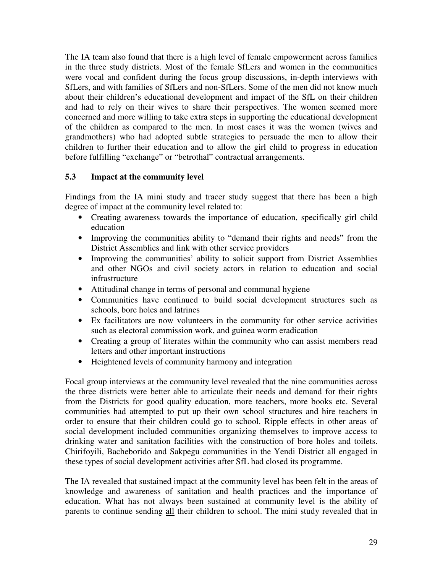The IA team also found that there is a high level of female empowerment across families in the three study districts. Most of the female SfLers and women in the communities were vocal and confident during the focus group discussions, in-depth interviews with SfLers, and with families of SfLers and non-SfLers. Some of the men did not know much about their children's educational development and impact of the SfL on their children and had to rely on their wives to share their perspectives. The women seemed more concerned and more willing to take extra steps in supporting the educational development of the children as compared to the men. In most cases it was the women (wives and grandmothers) who had adopted subtle strategies to persuade the men to allow their children to further their education and to allow the girl child to progress in education before fulfilling "exchange" or "betrothal" contractual arrangements.

#### **5.3 Impact at the community level**

Findings from the IA mini study and tracer study suggest that there has been a high degree of impact at the community level related to:

- Creating awareness towards the importance of education, specifically girl child education
- Improving the communities ability to "demand their rights and needs" from the District Assemblies and link with other service providers
- Improving the communities' ability to solicit support from District Assemblies and other NGOs and civil society actors in relation to education and social infrastructure
- Attitudinal change in terms of personal and communal hygiene
- Communities have continued to build social development structures such as schools, bore holes and latrines
- Ex facilitators are now volunteers in the community for other service activities such as electoral commission work, and guinea worm eradication
- Creating a group of literates within the community who can assist members read letters and other important instructions
- Heightened levels of community harmony and integration

Focal group interviews at the community level revealed that the nine communities across the three districts were better able to articulate their needs and demand for their rights from the Districts for good quality education, more teachers, more books etc. Several communities had attempted to put up their own school structures and hire teachers in order to ensure that their children could go to school. Ripple effects in other areas of social development included communities organizing themselves to improve access to drinking water and sanitation facilities with the construction of bore holes and toilets. Chirifoyili, Bacheborido and Sakpegu communities in the Yendi District all engaged in these types of social development activities after SfL had closed its programme.

The IA revealed that sustained impact at the community level has been felt in the areas of knowledge and awareness of sanitation and health practices and the importance of education. What has not always been sustained at community level is the ability of parents to continue sending all their children to school. The mini study revealed that in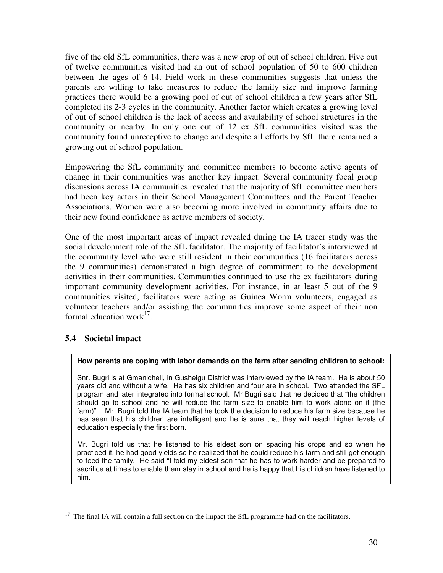five of the old SfL communities, there was a new crop of out of school children. Five out of twelve communities visited had an out of school population of 50 to 600 children between the ages of 6-14. Field work in these communities suggests that unless the parents are willing to take measures to reduce the family size and improve farming practices there would be a growing pool of out of school children a few years after SfL completed its 2-3 cycles in the community. Another factor which creates a growing level of out of school children is the lack of access and availability of school structures in the community or nearby. In only one out of 12 ex SfL communities visited was the community found unreceptive to change and despite all efforts by SfL there remained a growing out of school population.

Empowering the SfL community and committee members to become active agents of change in their communities was another key impact. Several community focal group discussions across IA communities revealed that the majority of SfL committee members had been key actors in their School Management Committees and the Parent Teacher Associations. Women were also becoming more involved in community affairs due to their new found confidence as active members of society.

One of the most important areas of impact revealed during the IA tracer study was the social development role of the SfL facilitator. The majority of facilitator's interviewed at the community level who were still resident in their communities (16 facilitators across the 9 communities) demonstrated a high degree of commitment to the development activities in their communities. Communities continued to use the ex facilitators during important community development activities. For instance, in at least 5 out of the 9 communities visited, facilitators were acting as Guinea Worm volunteers, engaged as volunteer teachers and/or assisting the communities improve some aspect of their non formal education work $^{17}$ .

#### **5.4 Societal impact**

 $\overline{a}$ 

#### **How parents are coping with labor demands on the farm after sending children to school:**

Snr. Bugri is at Gmanicheli, in Gusheigu District was interviewed by the IA team. He is about 50 years old and without a wife. He has six children and four are in school. Two attended the SFL program and later integrated into formal school. Mr Bugri said that he decided that "the children should go to school and he will reduce the farm size to enable him to work alone on it (the farm)". Mr. Bugri told the IA team that he took the decision to reduce his farm size because he has seen that his children are intelligent and he is sure that they will reach higher levels of education especially the first born.

Mr. Bugri told us that he listened to his eldest son on spacing his crops and so when he practiced it, he had good yields so he realized that he could reduce his farm and still get enough to feed the family. He said "I told my eldest son that he has to work harder and be prepared to sacrifice at times to enable them stay in school and he is happy that his children have listened to him.

<sup>&</sup>lt;sup>17</sup> The final IA will contain a full section on the impact the SfL programme had on the facilitators.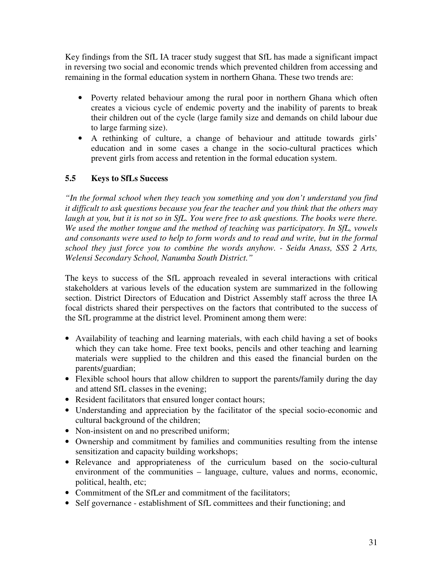Key findings from the SfL IA tracer study suggest that SfL has made a significant impact in reversing two social and economic trends which prevented children from accessing and remaining in the formal education system in northern Ghana. These two trends are:

- Poverty related behaviour among the rural poor in northern Ghana which often creates a vicious cycle of endemic poverty and the inability of parents to break their children out of the cycle (large family size and demands on child labour due to large farming size).
- A rethinking of culture, a change of behaviour and attitude towards girls' education and in some cases a change in the socio-cultural practices which prevent girls from access and retention in the formal education system.

#### **5.5 Keys to SfLs Success**

*"In the formal school when they teach you something and you don't understand you find it difficult to ask questions because you fear the teacher and you think that the others may laugh at you, but it is not so in SfL. You were free to ask questions. The books were there. We used the mother tongue and the method of teaching was participatory. In SfL, vowels and consonants were used to help to form words and to read and write, but in the formal school they just force you to combine the words anyhow. - Seidu Anass, SSS 2 Arts, Welensi Secondary School, Nanumba South District."* 

The keys to success of the SfL approach revealed in several interactions with critical stakeholders at various levels of the education system are summarized in the following section. District Directors of Education and District Assembly staff across the three IA focal districts shared their perspectives on the factors that contributed to the success of the SfL programme at the district level. Prominent among them were:

- Availability of teaching and learning materials, with each child having a set of books which they can take home. Free text books, pencils and other teaching and learning materials were supplied to the children and this eased the financial burden on the parents/guardian;
- Flexible school hours that allow children to support the parents/family during the day and attend SfL classes in the evening;
- Resident facilitators that ensured longer contact hours;
- Understanding and appreciation by the facilitator of the special socio-economic and cultural background of the children;
- Non-insistent on and no prescribed uniform;
- Ownership and commitment by families and communities resulting from the intense sensitization and capacity building workshops;
- Relevance and appropriateness of the curriculum based on the socio-cultural environment of the communities – language, culture, values and norms, economic, political, health, etc;
- Commitment of the SfLer and commitment of the facilitators;
- Self governance establishment of SfL committees and their functioning; and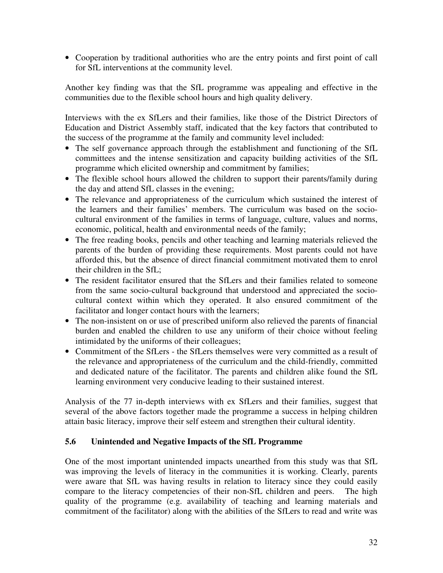• Cooperation by traditional authorities who are the entry points and first point of call for SfL interventions at the community level.

Another key finding was that the SfL programme was appealing and effective in the communities due to the flexible school hours and high quality delivery.

Interviews with the ex SfLers and their families, like those of the District Directors of Education and District Assembly staff, indicated that the key factors that contributed to the success of the programme at the family and community level included:

- The self governance approach through the establishment and functioning of the SfL committees and the intense sensitization and capacity building activities of the SfL programme which elicited ownership and commitment by families;
- The flexible school hours allowed the children to support their parents/family during the day and attend SfL classes in the evening;
- The relevance and appropriateness of the curriculum which sustained the interest of the learners and their families' members. The curriculum was based on the sociocultural environment of the families in terms of language, culture, values and norms, economic, political, health and environmental needs of the family;
- The free reading books, pencils and other teaching and learning materials relieved the parents of the burden of providing these requirements. Most parents could not have afforded this, but the absence of direct financial commitment motivated them to enrol their children in the SfL;
- The resident facilitator ensured that the SfLers and their families related to someone from the same socio-cultural background that understood and appreciated the sociocultural context within which they operated. It also ensured commitment of the facilitator and longer contact hours with the learners;
- The non-insistent on or use of prescribed uniform also relieved the parents of financial burden and enabled the children to use any uniform of their choice without feeling intimidated by the uniforms of their colleagues;
- Commitment of the SfLers the SfLers themselves were very committed as a result of the relevance and appropriateness of the curriculum and the child-friendly, committed and dedicated nature of the facilitator. The parents and children alike found the SfL learning environment very conducive leading to their sustained interest.

Analysis of the 77 in-depth interviews with ex SfLers and their families, suggest that several of the above factors together made the programme a success in helping children attain basic literacy, improve their self esteem and strengthen their cultural identity.

#### **5.6 Unintended and Negative Impacts of the SfL Programme**

One of the most important unintended impacts unearthed from this study was that SfL was improving the levels of literacy in the communities it is working. Clearly, parents were aware that SfL was having results in relation to literacy since they could easily compare to the literacy competencies of their non-SfL children and peers. The high quality of the programme (e.g. availability of teaching and learning materials and commitment of the facilitator) along with the abilities of the SfLers to read and write was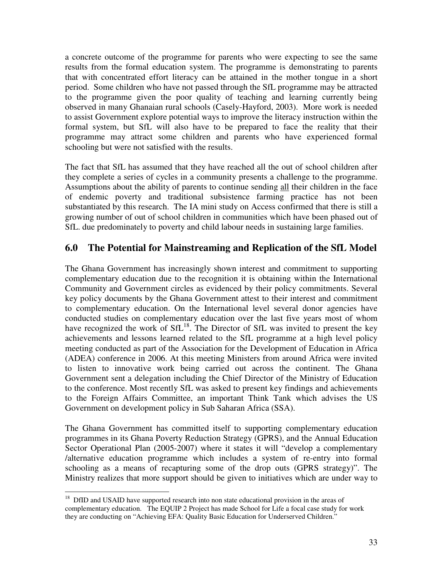a concrete outcome of the programme for parents who were expecting to see the same results from the formal education system. The programme is demonstrating to parents that with concentrated effort literacy can be attained in the mother tongue in a short period. Some children who have not passed through the SfL programme may be attracted to the programme given the poor quality of teaching and learning currently being observed in many Ghanaian rural schools (Casely-Hayford, 2003). More work is needed to assist Government explore potential ways to improve the literacy instruction within the formal system, but SfL will also have to be prepared to face the reality that their programme may attract some children and parents who have experienced formal schooling but were not satisfied with the results.

The fact that SfL has assumed that they have reached all the out of school children after they complete a series of cycles in a community presents a challenge to the programme. Assumptions about the ability of parents to continue sending all their children in the face of endemic poverty and traditional subsistence farming practice has not been substantiated by this research. The IA mini study on Access confirmed that there is still a growing number of out of school children in communities which have been phased out of SfL. due predominately to poverty and child labour needs in sustaining large families.

## **6.0 The Potential for Mainstreaming and Replication of the SfL Model**

The Ghana Government has increasingly shown interest and commitment to supporting complementary education due to the recognition it is obtaining within the International Community and Government circles as evidenced by their policy commitments. Several key policy documents by the Ghana Government attest to their interest and commitment to complementary education. On the International level several donor agencies have conducted studies on complementary education over the last five years most of whom have recognized the work of  $SfL^{18}$ . The Director of  $SfL$  was invited to present the key achievements and lessons learned related to the SfL programme at a high level policy meeting conducted as part of the Association for the Development of Education in Africa (ADEA) conference in 2006. At this meeting Ministers from around Africa were invited to listen to innovative work being carried out across the continent. The Ghana Government sent a delegation including the Chief Director of the Ministry of Education to the conference. Most recently SfL was asked to present key findings and achievements to the Foreign Affairs Committee, an important Think Tank which advises the US Government on development policy in Sub Saharan Africa (SSA).

The Ghana Government has committed itself to supporting complementary education programmes in its Ghana Poverty Reduction Strategy (GPRS), and the Annual Education Sector Operational Plan (2005-2007) where it states it will "develop a complementary /alternative education programme which includes a system of re-entry into formal schooling as a means of recapturing some of the drop outs (GPRS strategy)". The Ministry realizes that more support should be given to initiatives which are under way to

 $\overline{a}$ <sup>18</sup> DfID and USAID have supported research into non state educational provision in the areas of complementary education. The EQUIP 2 Project has made School for Life a focal case study for work they are conducting on "Achieving EFA: Quality Basic Education for Underserved Children."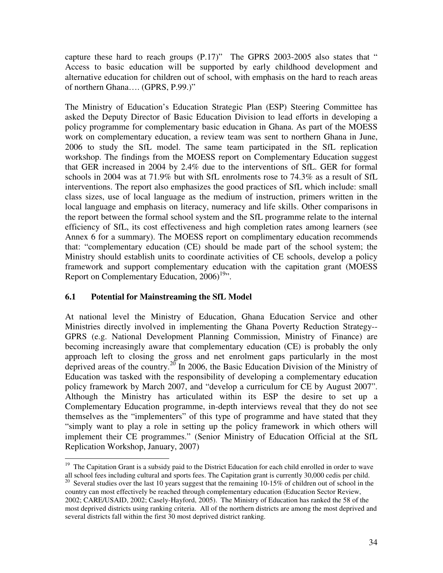capture these hard to reach groups (P.17)" The GPRS 2003-2005 also states that " Access to basic education will be supported by early childhood development and alternative education for children out of school, with emphasis on the hard to reach areas of northern Ghana…. (GPRS, P.99.)"

The Ministry of Education's Education Strategic Plan (ESP) Steering Committee has asked the Deputy Director of Basic Education Division to lead efforts in developing a policy programme for complementary basic education in Ghana. As part of the MOESS work on complementary education, a review team was sent to northern Ghana in June, 2006 to study the SfL model. The same team participated in the SfL replication workshop. The findings from the MOESS report on Complementary Education suggest that GER increased in 2004 by 2.4% due to the interventions of SfL. GER for formal schools in 2004 was at 71.9% but with SfL enrolments rose to 74.3% as a result of SfL interventions. The report also emphasizes the good practices of SfL which include: small class sizes, use of local language as the medium of instruction, primers written in the local language and emphasis on literacy, numeracy and life skills. Other comparisons in the report between the formal school system and the SfL programme relate to the internal efficiency of SfL, its cost effectiveness and high completion rates among learners (see Annex 6 for a summary). The MOESS report on complimentary education recommends that: "complementary education (CE) should be made part of the school system; the Ministry should establish units to coordinate activities of CE schools, develop a policy framework and support complementary education with the capitation grant (MOESS Report on Complementary Education,  $2006$ <sup>19</sup>".

#### **6.1 Potential for Mainstreaming the SfL Model**

At national level the Ministry of Education, Ghana Education Service and other Ministries directly involved in implementing the Ghana Poverty Reduction Strategy-- GPRS (e.g. National Development Planning Commission, Ministry of Finance) are becoming increasingly aware that complementary education (CE) is probably the only approach left to closing the gross and net enrolment gaps particularly in the most deprived areas of the country.<sup>20</sup> In 2006, the Basic Education Division of the Ministry of Education was tasked with the responsibility of developing a complementary education policy framework by March 2007, and "develop a curriculum for CE by August 2007". Although the Ministry has articulated within its ESP the desire to set up a Complementary Education programme, in-depth interviews reveal that they do not see themselves as the "implementers" of this type of programme and have stated that they "simply want to play a role in setting up the policy framework in which others will implement their CE programmes." (Senior Ministry of Education Official at the SfL Replication Workshop, January, 2007)

 $\overline{a}$ <sup>19</sup> The Capitation Grant is a subsidy paid to the District Education for each child enrolled in order to wave all school fees including cultural and sports fees. The Capitation grant is currently 30,000 cedis per child.

<sup>&</sup>lt;sup>20</sup> Several studies over the last 10 years suggest that the remaining 10-15% of children out of school in the country can most effectively be reached through complementary education (Education Sector Review, 2002; CARE/USAID, 2002; Casely-Hayford, 2005). The Ministry of Education has ranked the 58 of the most deprived districts using ranking criteria. All of the northern districts are among the most deprived and several districts fall within the first 30 most deprived district ranking.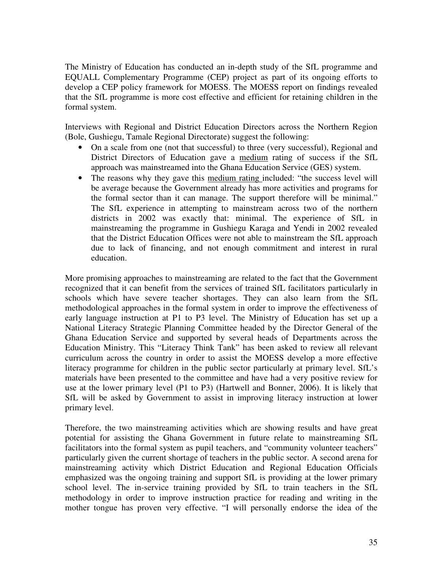The Ministry of Education has conducted an in-depth study of the SfL programme and EQUALL Complementary Programme (CEP) project as part of its ongoing efforts to develop a CEP policy framework for MOESS. The MOESS report on findings revealed that the SfL programme is more cost effective and efficient for retaining children in the formal system.

Interviews with Regional and District Education Directors across the Northern Region (Bole, Gushiegu, Tamale Regional Directorate) suggest the following:

- On a scale from one (not that successful) to three (very successful), Regional and District Directors of Education gave a medium rating of success if the SfL approach was mainstreamed into the Ghana Education Service (GES) system.
- The reasons why they gave this medium rating included: "the success level will be average because the Government already has more activities and programs for the formal sector than it can manage. The support therefore will be minimal." The SfL experience in attempting to mainstream across two of the northern districts in 2002 was exactly that: minimal. The experience of SfL in mainstreaming the programme in Gushiegu Karaga and Yendi in 2002 revealed that the District Education Offices were not able to mainstream the SfL approach due to lack of financing, and not enough commitment and interest in rural education.

More promising approaches to mainstreaming are related to the fact that the Government recognized that it can benefit from the services of trained SfL facilitators particularly in schools which have severe teacher shortages. They can also learn from the SfL methodological approaches in the formal system in order to improve the effectiveness of early language instruction at P1 to P3 level. The Ministry of Education has set up a National Literacy Strategic Planning Committee headed by the Director General of the Ghana Education Service and supported by several heads of Departments across the Education Ministry. This "Literacy Think Tank" has been asked to review all relevant curriculum across the country in order to assist the MOESS develop a more effective literacy programme for children in the public sector particularly at primary level. SfL's materials have been presented to the committee and have had a very positive review for use at the lower primary level (P1 to P3) (Hartwell and Bonner, 2006). It is likely that SfL will be asked by Government to assist in improving literacy instruction at lower primary level.

Therefore, the two mainstreaming activities which are showing results and have great potential for assisting the Ghana Government in future relate to mainstreaming SfL facilitators into the formal system as pupil teachers, and "community volunteer teachers" particularly given the current shortage of teachers in the public sector. A second arena for mainstreaming activity which District Education and Regional Education Officials emphasized was the ongoing training and support SfL is providing at the lower primary school level. The in-service training provided by SfL to train teachers in the SfL methodology in order to improve instruction practice for reading and writing in the mother tongue has proven very effective. "I will personally endorse the idea of the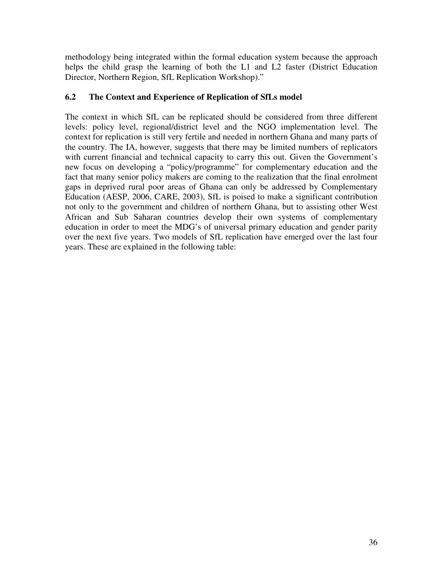methodology being integrated within the formal education system because the approach helps the child grasp the learning of both the L1 and L2 faster (District Education Director, Northern Region, SfL Replication Workshop)."

#### **6.2 The Context and Experience of Replication of SfLs model**

The context in which SfL can be replicated should be considered from three different levels: policy level, regional/district level and the NGO implementation level. The context for replication is still very fertile and needed in northern Ghana and many parts of the country. The IA, however, suggests that there may be limited numbers of replicators with current financial and technical capacity to carry this out. Given the Government's new focus on developing a "policy/programme" for complementary education and the fact that many senior policy makers are coming to the realization that the final enrolment gaps in deprived rural poor areas of Ghana can only be addressed by Complementary Education (AESP, 2006, CARE, 2003), SfL is poised to make a significant contribution not only to the government and children of northern Ghana, but to assisting other West African and Sub Saharan countries develop their own systems of complementary education in order to meet the MDG's of universal primary education and gender parity over the next five years. Two models of SfL replication have emerged over the last four years. These are explained in the following table: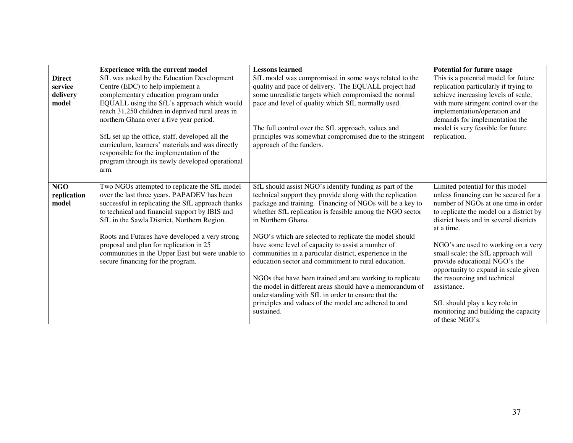|                                    | <b>Experience with the current model</b>                                                                                                                                                                                                           | <b>Lessons learned</b>                                                                                                                                                                                                                                                                                                                                                                                                                                                             | <b>Potential for future usage</b>                                                                                                                                                                                                                                                             |
|------------------------------------|----------------------------------------------------------------------------------------------------------------------------------------------------------------------------------------------------------------------------------------------------|------------------------------------------------------------------------------------------------------------------------------------------------------------------------------------------------------------------------------------------------------------------------------------------------------------------------------------------------------------------------------------------------------------------------------------------------------------------------------------|-----------------------------------------------------------------------------------------------------------------------------------------------------------------------------------------------------------------------------------------------------------------------------------------------|
| <b>Direct</b>                      | SfL was asked by the Education Development                                                                                                                                                                                                         | SfL model was compromised in some ways related to the                                                                                                                                                                                                                                                                                                                                                                                                                              | This is a potential model for future                                                                                                                                                                                                                                                          |
| service                            | Centre (EDC) to help implement a                                                                                                                                                                                                                   | quality and pace of delivery. The EQUALL project had                                                                                                                                                                                                                                                                                                                                                                                                                               | replication particularly if trying to                                                                                                                                                                                                                                                         |
| delivery                           | complementary education program under                                                                                                                                                                                                              | some unrealistic targets which compromised the normal                                                                                                                                                                                                                                                                                                                                                                                                                              | achieve increasing levels of scale;                                                                                                                                                                                                                                                           |
| model                              | EQUALL using the SfL's approach which would<br>reach 31,250 children in deprived rural areas in<br>northern Ghana over a five year period.                                                                                                         | pace and level of quality which SfL normally used.<br>The full control over the SfL approach, values and                                                                                                                                                                                                                                                                                                                                                                           | with more stringent control over the<br>implementation/operation and<br>demands for implementation the<br>model is very feasible for future                                                                                                                                                   |
|                                    | SfL set up the office, staff, developed all the<br>curriculum, learners' materials and was directly<br>responsible for the implementation of the<br>program through its newly developed operational<br>arm.                                        | principles was somewhat compromised due to the stringent<br>approach of the funders.                                                                                                                                                                                                                                                                                                                                                                                               | replication.                                                                                                                                                                                                                                                                                  |
| <b>NGO</b><br>replication<br>model | Two NGOs attempted to replicate the SfL model<br>over the last three years. PAPADEV has been<br>successful in replicating the SfL approach thanks<br>to technical and financial support by IBIS and<br>SfL in the Sawla District, Northern Region. | SfL should assist NGO's identify funding as part of the<br>technical support they provide along with the replication<br>package and training. Financing of NGOs will be a key to<br>whether SfL replication is feasible among the NGO sector<br>in Northern Ghana.                                                                                                                                                                                                                 | Limited potential for this model<br>unless financing can be secured for a<br>number of NGOs at one time in order<br>to replicate the model on a district by<br>district basis and in several districts<br>at a time.                                                                          |
|                                    | Roots and Futures have developed a very strong<br>proposal and plan for replication in 25<br>communities in the Upper East but were unable to<br>secure financing for the program.                                                                 | NGO's which are selected to replicate the model should<br>have some level of capacity to assist a number of<br>communities in a particular district, experience in the<br>education sector and commitment to rural education.<br>NGOs that have been trained and are working to replicate<br>the model in different areas should have a memorandum of<br>understanding with SfL in order to ensure that the<br>principles and values of the model are adhered to and<br>sustained. | NGO's are used to working on a very<br>small scale; the SfL approach will<br>provide educational NGO's the<br>opportunity to expand in scale given<br>the resourcing and technical<br>assistance.<br>SfL should play a key role in<br>monitoring and building the capacity<br>of these NGO's. |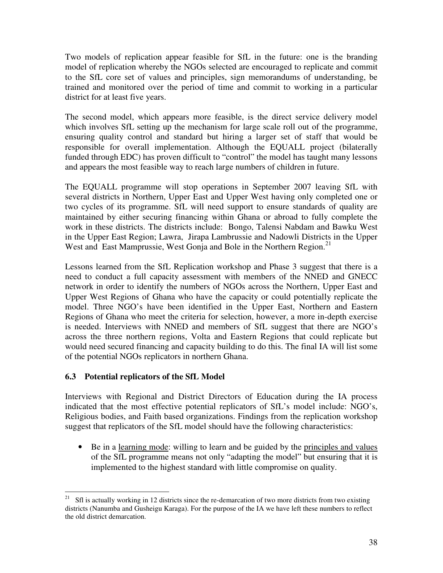Two models of replication appear feasible for SfL in the future: one is the branding model of replication whereby the NGOs selected are encouraged to replicate and commit to the SfL core set of values and principles, sign memorandums of understanding, be trained and monitored over the period of time and commit to working in a particular district for at least five years.

The second model, which appears more feasible, is the direct service delivery model which involves SfL setting up the mechanism for large scale roll out of the programme, ensuring quality control and standard but hiring a larger set of staff that would be responsible for overall implementation. Although the EQUALL project (bilaterally funded through EDC) has proven difficult to "control" the model has taught many lessons and appears the most feasible way to reach large numbers of children in future.

The EQUALL programme will stop operations in September 2007 leaving SfL with several districts in Northern, Upper East and Upper West having only completed one or two cycles of its programme. SfL will need support to ensure standards of quality are maintained by either securing financing within Ghana or abroad to fully complete the work in these districts. The districts include: Bongo, Talensi Nabdam and Bawku West in the Upper East Region; Lawra, Jirapa Lambrussie and Nadowli Districts in the Upper West and East Mamprussie, West Gonja and Bole in the Northern Region.<sup>21</sup>

Lessons learned from the SfL Replication workshop and Phase 3 suggest that there is a need to conduct a full capacity assessment with members of the NNED and GNECC network in order to identify the numbers of NGOs across the Northern, Upper East and Upper West Regions of Ghana who have the capacity or could potentially replicate the model. Three NGO's have been identified in the Upper East, Northern and Eastern Regions of Ghana who meet the criteria for selection, however, a more in-depth exercise is needed. Interviews with NNED and members of SfL suggest that there are NGO's across the three northern regions, Volta and Eastern Regions that could replicate but would need secured financing and capacity building to do this. The final IA will list some of the potential NGOs replicators in northern Ghana.

#### **6.3 Potential replicators of the SfL Model**

Interviews with Regional and District Directors of Education during the IA process indicated that the most effective potential replicators of SfL's model include: NGO's, Religious bodies, and Faith based organizations. Findings from the replication workshop suggest that replicators of the SfL model should have the following characteristics:

• Be in a learning mode: willing to learn and be guided by the principles and values of the SfL programme means not only "adapting the model" but ensuring that it is implemented to the highest standard with little compromise on quality.

 $21\,$ <sup>21</sup> Sfl is actually working in 12 districts since the re-demarcation of two more districts from two existing districts (Nanumba and Gusheigu Karaga). For the purpose of the IA we have left these numbers to reflect the old district demarcation.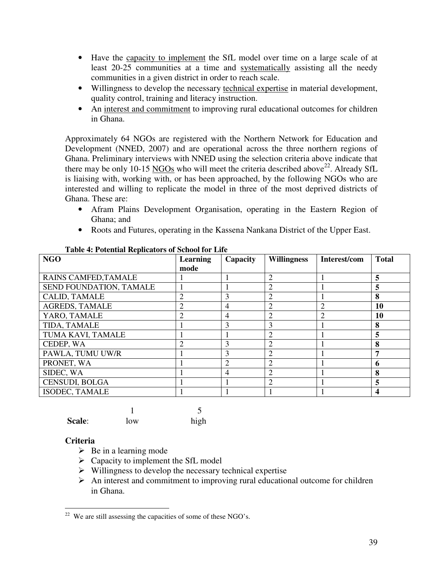- Have the capacity to implement the SfL model over time on a large scale of at least 20-25 communities at a time and systematically assisting all the needy communities in a given district in order to reach scale.
- Willingness to develop the necessary technical expertise in material development, quality control, training and literacy instruction.
- An interest and commitment to improving rural educational outcomes for children in Ghana.

Approximately 64 NGOs are registered with the Northern Network for Education and Development (NNED, 2007) and are operational across the three northern regions of Ghana. Preliminary interviews with NNED using the selection criteria above indicate that there may be only 10-15 NGOs who will meet the criteria described above<sup>22</sup>. Already SfL is liaising with, working with, or has been approached, by the following NGOs who are interested and willing to replicate the model in three of the most deprived districts of Ghana. These are:

- Afram Plains Development Organisation, operating in the Eastern Region of Ghana; and
- Roots and Futures, operating in the Kassena Nankana District of the Upper East.

| <b>NGO</b>              | <b>Learning</b> | Capacity       | <b>Willingness</b> | Interest/com                | <b>Total</b> |
|-------------------------|-----------------|----------------|--------------------|-----------------------------|--------------|
|                         | mode            |                |                    |                             |              |
| RAINS CAMFED, TAMALE    |                 |                | $\overline{2}$     |                             | 5            |
| SEND FOUNDATION, TAMALE |                 |                | 2                  |                             | 5            |
| <b>CALID, TAMALE</b>    | 2               | 3              | 2                  |                             | 8            |
| <b>AGREDS, TAMALE</b>   | 2               | 4              | 2                  | 2                           | 10           |
| YARO, TAMALE            | 2               | $\overline{4}$ | 2                  | $\mathcal{D}_{\mathcal{L}}$ | 10           |
| TIDA, TAMALE            |                 | 3              | 3                  |                             | 8            |
| TUMA KAVI, TAMALE       |                 |                | 2                  |                             | 5            |
| CEDEP, WA               | $\overline{2}$  | 3              | 2                  |                             | 8            |
| PAWLA, TUMU UW/R        |                 | 3              | $\overline{2}$     |                             | 7            |
| PRONET, WA              |                 | 2              | $\overline{c}$     |                             | 6            |
| SIDEC, WA               |                 | $\overline{4}$ | 2                  |                             | 8            |
| <b>CENSUDI, BOLGA</b>   |                 |                | 2                  |                             | 5            |
| <b>ISODEC, TAMALE</b>   |                 |                |                    |                             | 4            |

**Table 4: Potential Replicators of School for Life** 

| Scale: | low | high |
|--------|-----|------|

#### **Criteria**

- $\triangleright$  Be in a learning mode
- $\triangleright$  Capacity to implement the SfL model
- $\triangleright$  Willingness to develop the necessary technical expertise
- $\triangleright$  An interest and commitment to improving rural educational outcome for children in Ghana.

 $\overline{a}$  $22$  We are still assessing the capacities of some of these NGO's.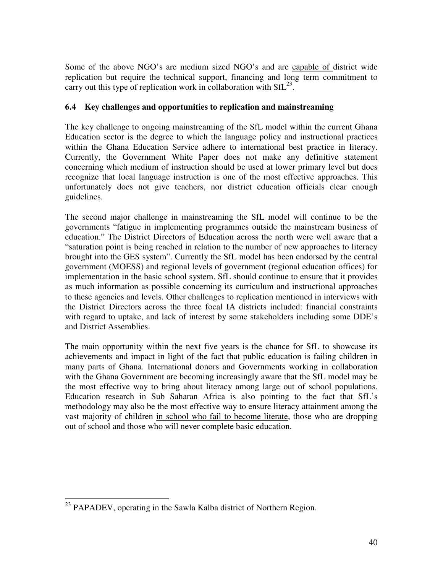Some of the above NGO's are medium sized NGO's and are capable of district wide replication but require the technical support, financing and long term commitment to carry out this type of replication work in collaboration with  $\text{SfL}^{23}$ .

#### **6.4 Key challenges and opportunities to replication and mainstreaming**

The key challenge to ongoing mainstreaming of the SfL model within the current Ghana Education sector is the degree to which the language policy and instructional practices within the Ghana Education Service adhere to international best practice in literacy. Currently, the Government White Paper does not make any definitive statement concerning which medium of instruction should be used at lower primary level but does recognize that local language instruction is one of the most effective approaches. This unfortunately does not give teachers, nor district education officials clear enough guidelines.

The second major challenge in mainstreaming the SfL model will continue to be the governments "fatigue in implementing programmes outside the mainstream business of education." The District Directors of Education across the north were well aware that a "saturation point is being reached in relation to the number of new approaches to literacy brought into the GES system". Currently the SfL model has been endorsed by the central government (MOESS) and regional levels of government (regional education offices) for implementation in the basic school system. SfL should continue to ensure that it provides as much information as possible concerning its curriculum and instructional approaches to these agencies and levels. Other challenges to replication mentioned in interviews with the District Directors across the three focal IA districts included: financial constraints with regard to uptake, and lack of interest by some stakeholders including some DDE's and District Assemblies.

The main opportunity within the next five years is the chance for SfL to showcase its achievements and impact in light of the fact that public education is failing children in many parts of Ghana. International donors and Governments working in collaboration with the Ghana Government are becoming increasingly aware that the SfL model may be the most effective way to bring about literacy among large out of school populations. Education research in Sub Saharan Africa is also pointing to the fact that SfL's methodology may also be the most effective way to ensure literacy attainment among the vast majority of children in school who fail to become literate, those who are dropping out of school and those who will never complete basic education.

 $\overline{a}$ <sup>23</sup> PAPADEV, operating in the Sawla Kalba district of Northern Region.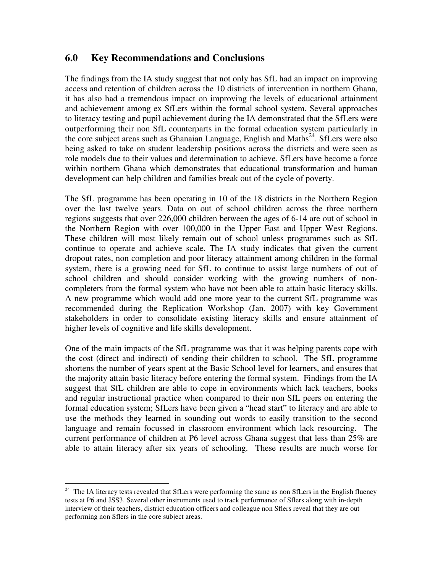## **6.0 Key Recommendations and Conclusions**

The findings from the IA study suggest that not only has SfL had an impact on improving access and retention of children across the 10 districts of intervention in northern Ghana, it has also had a tremendous impact on improving the levels of educational attainment and achievement among ex SfLers within the formal school system. Several approaches to literacy testing and pupil achievement during the IA demonstrated that the SfLers were outperforming their non SfL counterparts in the formal education system particularly in the core subject areas such as Ghanaian Language, English and Maths<sup>24</sup>. SfLers were also being asked to take on student leadership positions across the districts and were seen as role models due to their values and determination to achieve. SfLers have become a force within northern Ghana which demonstrates that educational transformation and human development can help children and families break out of the cycle of poverty.

The SfL programme has been operating in 10 of the 18 districts in the Northern Region over the last twelve years. Data on out of school children across the three northern regions suggests that over 226,000 children between the ages of 6-14 are out of school in the Northern Region with over 100,000 in the Upper East and Upper West Regions. These children will most likely remain out of school unless programmes such as SfL continue to operate and achieve scale. The IA study indicates that given the current dropout rates, non completion and poor literacy attainment among children in the formal system, there is a growing need for SfL to continue to assist large numbers of out of school children and should consider working with the growing numbers of noncompleters from the formal system who have not been able to attain basic literacy skills. A new programme which would add one more year to the current SfL programme was recommended during the Replication Workshop (Jan. 2007) with key Government stakeholders in order to consolidate existing literacy skills and ensure attainment of higher levels of cognitive and life skills development.

One of the main impacts of the SfL programme was that it was helping parents cope with the cost (direct and indirect) of sending their children to school. The SfL programme shortens the number of years spent at the Basic School level for learners, and ensures that the majority attain basic literacy before entering the formal system. Findings from the IA suggest that SfL children are able to cope in environments which lack teachers, books and regular instructional practice when compared to their non SfL peers on entering the formal education system; SfLers have been given a "head start" to literacy and are able to use the methods they learned in sounding out words to easily transition to the second language and remain focussed in classroom environment which lack resourcing. The current performance of children at P6 level across Ghana suggest that less than 25% are able to attain literacy after six years of schooling. These results are much worse for

 $\overline{a}$ 

 $24$  The IA literacy tests revealed that SfLers were performing the same as non SfLers in the English fluency tests at P6 and JSS3. Several other instruments used to track performance of Sflers along with in-depth interview of their teachers, district education officers and colleague non Sflers reveal that they are out performing non Sflers in the core subject areas.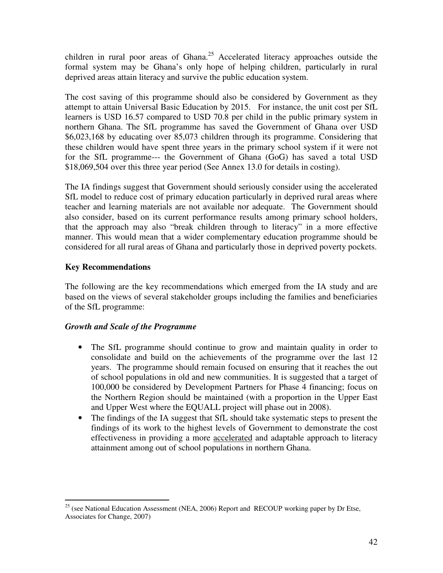children in rural poor areas of Ghana.<sup>25</sup> Accelerated literacy approaches outside the formal system may be Ghana's only hope of helping children, particularly in rural deprived areas attain literacy and survive the public education system.

The cost saving of this programme should also be considered by Government as they attempt to attain Universal Basic Education by 2015. For instance, the unit cost per SfL learners is USD 16.57 compared to USD 70.8 per child in the public primary system in northern Ghana. The SfL programme has saved the Government of Ghana over USD \$6,023,168 by educating over 85,073 children through its programme. Considering that these children would have spent three years in the primary school system if it were not for the SfL programme--- the Government of Ghana (GoG) has saved a total USD \$18,069,504 over this three year period (See Annex 13.0 for details in costing).

The IA findings suggest that Government should seriously consider using the accelerated SfL model to reduce cost of primary education particularly in deprived rural areas where teacher and learning materials are not available nor adequate. The Government should also consider, based on its current performance results among primary school holders, that the approach may also "break children through to literacy" in a more effective manner. This would mean that a wider complementary education programme should be considered for all rural areas of Ghana and particularly those in deprived poverty pockets.

#### **Key Recommendations**

The following are the key recommendations which emerged from the IA study and are based on the views of several stakeholder groups including the families and beneficiaries of the SfL programme:

#### *Growth and Scale of the Programme*

- The SfL programme should continue to grow and maintain quality in order to consolidate and build on the achievements of the programme over the last 12 years. The programme should remain focused on ensuring that it reaches the out of school populations in old and new communities. It is suggested that a target of 100,000 be considered by Development Partners for Phase 4 financing; focus on the Northern Region should be maintained (with a proportion in the Upper East and Upper West where the EQUALL project will phase out in 2008).
- The findings of the IA suggest that SfL should take systematic steps to present the findings of its work to the highest levels of Government to demonstrate the cost effectiveness in providing a more accelerated and adaptable approach to literacy attainment among out of school populations in northern Ghana.

 $\overline{a}$  $25$  (see National Education Assessment (NEA, 2006) Report and RECOUP working paper by Dr Etse, Associates for Change, 2007)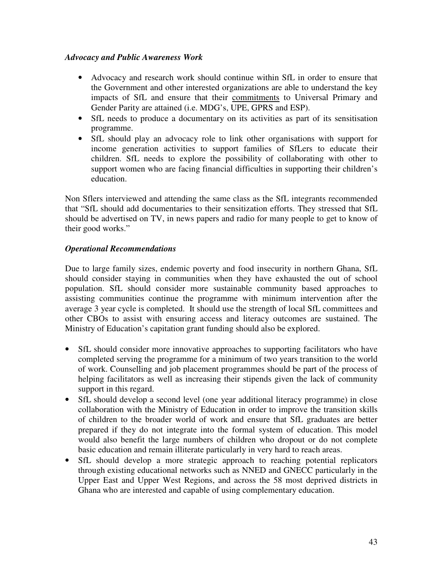#### *Advocacy and Public Awareness Work*

- Advocacy and research work should continue within SfL in order to ensure that the Government and other interested organizations are able to understand the key impacts of SfL and ensure that their commitments to Universal Primary and Gender Parity are attained (i.e. MDG's, UPE, GPRS and ESP).
- SfL needs to produce a documentary on its activities as part of its sensitisation programme.
- SfL should play an advocacy role to link other organisations with support for income generation activities to support families of SfLers to educate their children. SfL needs to explore the possibility of collaborating with other to support women who are facing financial difficulties in supporting their children's education.

Non Sflers interviewed and attending the same class as the SfL integrants recommended that "SfL should add documentaries to their sensitization efforts. They stressed that SfL should be advertised on TV, in news papers and radio for many people to get to know of their good works."

#### *Operational Recommendations*

Due to large family sizes, endemic poverty and food insecurity in northern Ghana, SfL should consider staying in communities when they have exhausted the out of school population. SfL should consider more sustainable community based approaches to assisting communities continue the programme with minimum intervention after the average 3 year cycle is completed. It should use the strength of local SfL committees and other CBOs to assist with ensuring access and literacy outcomes are sustained. The Ministry of Education's capitation grant funding should also be explored.

- SfL should consider more innovative approaches to supporting facilitators who have completed serving the programme for a minimum of two years transition to the world of work. Counselling and job placement programmes should be part of the process of helping facilitators as well as increasing their stipends given the lack of community support in this regard.
- SfL should develop a second level (one year additional literacy programme) in close collaboration with the Ministry of Education in order to improve the transition skills of children to the broader world of work and ensure that SfL graduates are better prepared if they do not integrate into the formal system of education. This model would also benefit the large numbers of children who dropout or do not complete basic education and remain illiterate particularly in very hard to reach areas.
- SfL should develop a more strategic approach to reaching potential replicators through existing educational networks such as NNED and GNECC particularly in the Upper East and Upper West Regions, and across the 58 most deprived districts in Ghana who are interested and capable of using complementary education.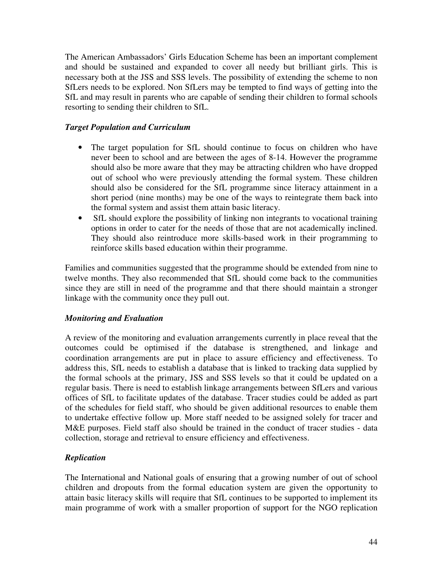The American Ambassadors' Girls Education Scheme has been an important complement and should be sustained and expanded to cover all needy but brilliant girls. This is necessary both at the JSS and SSS levels. The possibility of extending the scheme to non SfLers needs to be explored. Non SfLers may be tempted to find ways of getting into the SfL and may result in parents who are capable of sending their children to formal schools resorting to sending their children to SfL.

#### *Target Population and Curriculum*

- The target population for SfL should continue to focus on children who have never been to school and are between the ages of 8-14. However the programme should also be more aware that they may be attracting children who have dropped out of school who were previously attending the formal system. These children should also be considered for the SfL programme since literacy attainment in a short period (nine months) may be one of the ways to reintegrate them back into the formal system and assist them attain basic literacy.
- SfL should explore the possibility of linking non integrants to vocational training options in order to cater for the needs of those that are not academically inclined. They should also reintroduce more skills-based work in their programming to reinforce skills based education within their programme.

Families and communities suggested that the programme should be extended from nine to twelve months. They also recommended that SfL should come back to the communities since they are still in need of the programme and that there should maintain a stronger linkage with the community once they pull out.

#### *Monitoring and Evaluation*

A review of the monitoring and evaluation arrangements currently in place reveal that the outcomes could be optimised if the database is strengthened, and linkage and coordination arrangements are put in place to assure efficiency and effectiveness. To address this, SfL needs to establish a database that is linked to tracking data supplied by the formal schools at the primary, JSS and SSS levels so that it could be updated on a regular basis. There is need to establish linkage arrangements between SfLers and various offices of SfL to facilitate updates of the database. Tracer studies could be added as part of the schedules for field staff, who should be given additional resources to enable them to undertake effective follow up. More staff needed to be assigned solely for tracer and M&E purposes. Field staff also should be trained in the conduct of tracer studies - data collection, storage and retrieval to ensure efficiency and effectiveness.

#### *Replication*

The International and National goals of ensuring that a growing number of out of school children and dropouts from the formal education system are given the opportunity to attain basic literacy skills will require that SfL continues to be supported to implement its main programme of work with a smaller proportion of support for the NGO replication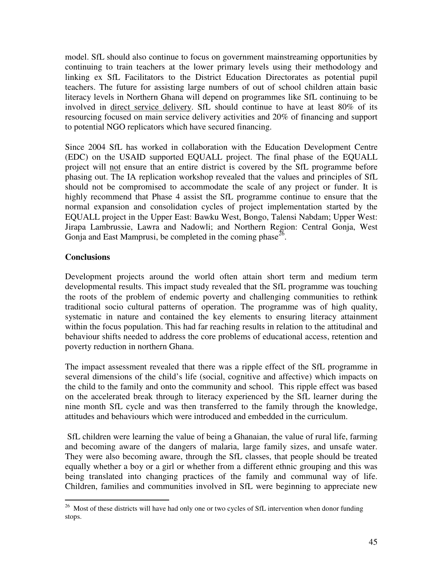model. SfL should also continue to focus on government mainstreaming opportunities by continuing to train teachers at the lower primary levels using their methodology and linking ex SfL Facilitators to the District Education Directorates as potential pupil teachers. The future for assisting large numbers of out of school children attain basic literacy levels in Northern Ghana will depend on programmes like SfL continuing to be involved in direct service delivery. SfL should continue to have at least 80% of its resourcing focused on main service delivery activities and 20% of financing and support to potential NGO replicators which have secured financing.

Since 2004 SfL has worked in collaboration with the Education Development Centre (EDC) on the USAID supported EQUALL project. The final phase of the EQUALL project will not ensure that an entire district is covered by the SfL programme before phasing out. The IA replication workshop revealed that the values and principles of SfL should not be compromised to accommodate the scale of any project or funder. It is highly recommend that Phase 4 assist the SfL programme continue to ensure that the normal expansion and consolidation cycles of project implementation started by the EQUALL project in the Upper East: Bawku West, Bongo, Talensi Nabdam; Upper West: Jirapa Lambrussie, Lawra and Nadowli; and Northern Region: Central Gonja, West Gonja and East Mamprusi, be completed in the coming phase $^{26}$ .

#### **Conclusions**

Development projects around the world often attain short term and medium term developmental results. This impact study revealed that the SfL programme was touching the roots of the problem of endemic poverty and challenging communities to rethink traditional socio cultural patterns of operation. The programme was of high quality, systematic in nature and contained the key elements to ensuring literacy attainment within the focus population. This had far reaching results in relation to the attitudinal and behaviour shifts needed to address the core problems of educational access, retention and poverty reduction in northern Ghana.

The impact assessment revealed that there was a ripple effect of the SfL programme in several dimensions of the child's life (social, cognitive and affective) which impacts on the child to the family and onto the community and school. This ripple effect was based on the accelerated break through to literacy experienced by the SfL learner during the nine month SfL cycle and was then transferred to the family through the knowledge, attitudes and behaviours which were introduced and embedded in the curriculum.

 SfL children were learning the value of being a Ghanaian, the value of rural life, farming and becoming aware of the dangers of malaria, large family sizes, and unsafe water. They were also becoming aware, through the SfL classes, that people should be treated equally whether a boy or a girl or whether from a different ethnic grouping and this was being translated into changing practices of the family and communal way of life. Children, families and communities involved in SfL were beginning to appreciate new

 $\overline{a}$  $26$  Most of these districts will have had only one or two cycles of SfL intervention when donor funding stops.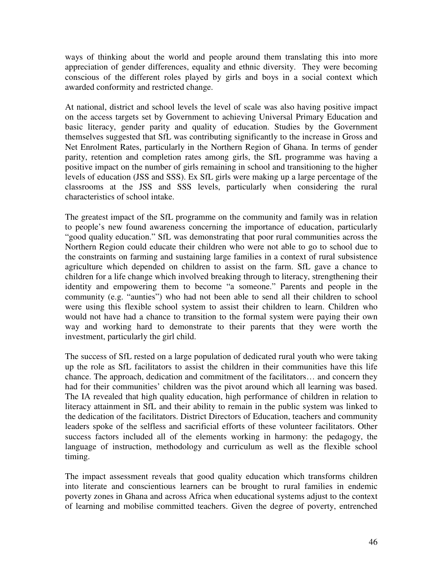ways of thinking about the world and people around them translating this into more appreciation of gender differences, equality and ethnic diversity. They were becoming conscious of the different roles played by girls and boys in a social context which awarded conformity and restricted change.

At national, district and school levels the level of scale was also having positive impact on the access targets set by Government to achieving Universal Primary Education and basic literacy, gender parity and quality of education. Studies by the Government themselves suggested that SfL was contributing significantly to the increase in Gross and Net Enrolment Rates, particularly in the Northern Region of Ghana. In terms of gender parity, retention and completion rates among girls, the SfL programme was having a positive impact on the number of girls remaining in school and transitioning to the higher levels of education (JSS and SSS). Ex SfL girls were making up a large percentage of the classrooms at the JSS and SSS levels, particularly when considering the rural characteristics of school intake.

The greatest impact of the SfL programme on the community and family was in relation to people's new found awareness concerning the importance of education, particularly "good quality education." SfL was demonstrating that poor rural communities across the Northern Region could educate their children who were not able to go to school due to the constraints on farming and sustaining large families in a context of rural subsistence agriculture which depended on children to assist on the farm. SfL gave a chance to children for a life change which involved breaking through to literacy, strengthening their identity and empowering them to become "a someone." Parents and people in the community (e.g. "aunties") who had not been able to send all their children to school were using this flexible school system to assist their children to learn. Children who would not have had a chance to transition to the formal system were paying their own way and working hard to demonstrate to their parents that they were worth the investment, particularly the girl child.

The success of SfL rested on a large population of dedicated rural youth who were taking up the role as SfL facilitators to assist the children in their communities have this life chance. The approach, dedication and commitment of the facilitators… and concern they had for their communities' children was the pivot around which all learning was based. The IA revealed that high quality education, high performance of children in relation to literacy attainment in SfL and their ability to remain in the public system was linked to the dedication of the facilitators. District Directors of Education, teachers and community leaders spoke of the selfless and sacrificial efforts of these volunteer facilitators. Other success factors included all of the elements working in harmony: the pedagogy, the language of instruction, methodology and curriculum as well as the flexible school timing.

The impact assessment reveals that good quality education which transforms children into literate and conscientious learners can be brought to rural families in endemic poverty zones in Ghana and across Africa when educational systems adjust to the context of learning and mobilise committed teachers. Given the degree of poverty, entrenched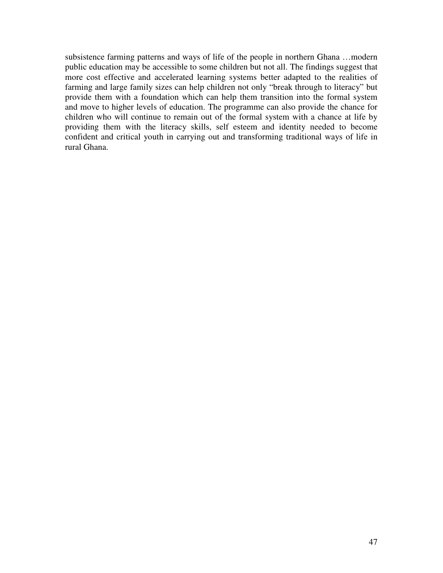subsistence farming patterns and ways of life of the people in northern Ghana …modern public education may be accessible to some children but not all. The findings suggest that more cost effective and accelerated learning systems better adapted to the realities of farming and large family sizes can help children not only "break through to literacy" but provide them with a foundation which can help them transition into the formal system and move to higher levels of education. The programme can also provide the chance for children who will continue to remain out of the formal system with a chance at life by providing them with the literacy skills, self esteem and identity needed to become confident and critical youth in carrying out and transforming traditional ways of life in rural Ghana.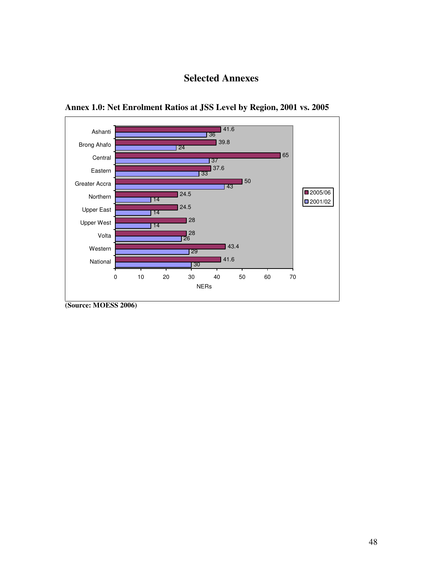## **Selected Annexes**





**<sup>(</sup>Source: MOESS 2006)**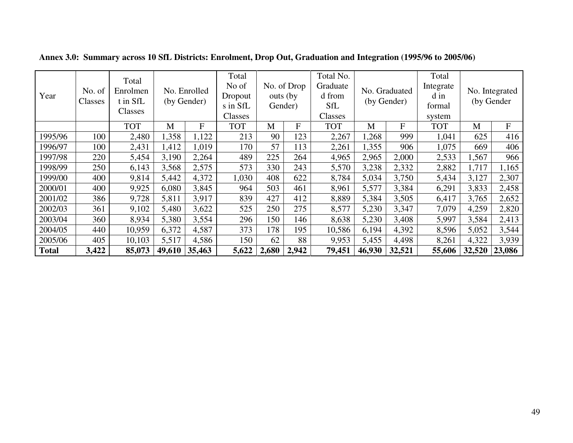| Year         | No. of<br>Classes | Total<br>Enrolmen<br>t in SfL<br>Classes |        | No. Enrolled<br>(by Gender) | Total<br>No of<br>Dropout<br>s in SfL<br>Classes |       | Total No.<br>No. of Drop<br>Graduate<br>d from<br>outs (by<br><b>SfL</b><br>Gender)<br>Classes |            | No. Graduated<br>(by Gender) |             | Total<br>Integrate<br>d in<br>formal<br>system |        | No. Integrated<br>(by Gender |  |
|--------------|-------------------|------------------------------------------|--------|-----------------------------|--------------------------------------------------|-------|------------------------------------------------------------------------------------------------|------------|------------------------------|-------------|------------------------------------------------|--------|------------------------------|--|
|              |                   | <b>TOT</b>                               | M      | F                           | <b>TOT</b>                                       | M     | ${\bf F}$                                                                                      | <b>TOT</b> | M                            | $\mathbf F$ | <b>TOT</b>                                     | M      | ${\bf F}$                    |  |
| 1995/96      | 100               | 2,480                                    | 1,358  | 1,122                       | 213                                              | 90    | 123                                                                                            | 2,267      | ,268                         | 999         | 1,041                                          | 625    | 416                          |  |
| 1996/97      | 100               | 2,431                                    | 1,412  | 1,019                       | 170                                              | 57    | 113                                                                                            | 2,261      | 1,355                        | 906         | 1,075                                          | 669    | 406                          |  |
| 1997/98      | 220               | 5,454                                    | 3,190  | 2,264                       | 489                                              | 225   | 264                                                                                            | 4,965      | 2,965                        | 2,000       | 2,533                                          | 1,567  | 966                          |  |
| 1998/99      | 250               | 6,143                                    | 3,568  | 2,575                       | 573                                              | 330   | 243                                                                                            | 5,570      | 3,238                        | 2,332       | 2,882                                          | 1,717  | 1,165                        |  |
| 1999/00      | 400               | 9,814                                    | 5,442  | 4,372                       | 1,030                                            | 408   | 622                                                                                            | 8,784      | 5,034                        | 3,750       | 5,434                                          | 3,127  | 2,307                        |  |
| 2000/01      | 400               | 9,925                                    | 6,080  | 3,845                       | 964                                              | 503   | 461                                                                                            | 8,961      | 5,577                        | 3,384       | 6,291                                          | 3,833  | 2,458                        |  |
| 2001/02      | 386               | 9,728                                    | 5,811  | 3,917                       | 839                                              | 427   | 412                                                                                            | 8,889      | 5,384                        | 3,505       | 6,417                                          | 3,765  | 2,652                        |  |
| 2002/03      | 361               | 9,102                                    | 5,480  | 3,622                       | 525                                              | 250   | 275                                                                                            | 8,577      | 5,230                        | 3,347       | 7,079                                          | 4,259  | 2,820                        |  |
| 2003/04      | 360               | 8,934                                    | 5,380  | 3,554                       | 296                                              | 150   | 146                                                                                            | 8,638      | 5,230                        | 3,408       | 5,997                                          | 3,584  | 2,413                        |  |
| 2004/05      | 440               | 10,959                                   | 6,372  | 4,587                       | 373                                              | 178   | 195                                                                                            | 10,586     | 6,194                        | 4,392       | 8,596                                          | 5,052  | 3,544                        |  |
| 2005/06      | 405               | 10,103                                   | 5,517  | 4,586                       | 150                                              | 62    | 88                                                                                             | 9,953      | 5,455                        | 4,498       | 8,261                                          | 4,322  | 3,939                        |  |
| <b>Total</b> | 3,422             | 85,073                                   | 49,610 | 35,463                      | 5,622                                            | 2,680 | 2,942                                                                                          | 79,451     | 46,930                       | 32,521      | 55,606                                         | 32,520 | 23,086                       |  |

**Annex 3.0: Summary across 10 SfL Districts: Enrolment, Drop Out, Graduation and Integration (1995/96 to 2005/06)**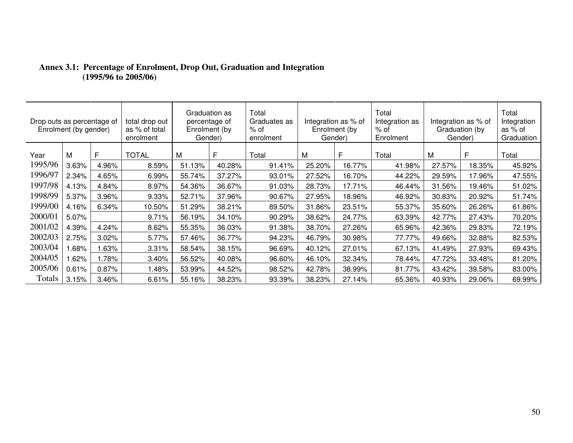| Drop outs as percentage of | Enrolment (by gender) |       | total drop out<br>as % of total<br>enrolment | Gender) | Graduation as<br>percentage of<br>Enrolment (by | Total<br>Graduates as<br>% of<br>enrolment |        | Total<br>Integration as % of<br>Integration as % of<br>Integration as<br>% of<br>Graduation (by<br>Enrolment (by<br>Gender)<br>Gender)<br>Enrolment |        |        |        | Total<br>Integration<br>as % of<br>Graduation |
|----------------------------|-----------------------|-------|----------------------------------------------|---------|-------------------------------------------------|--------------------------------------------|--------|-----------------------------------------------------------------------------------------------------------------------------------------------------|--------|--------|--------|-----------------------------------------------|
| Year                       | M                     | Е     | <b>TOTAL</b>                                 | M       | Е                                               | Total                                      | Μ      | F                                                                                                                                                   | Total  | м      | F      | Total                                         |
| 1995/96                    | 3.63%                 | 4.96% | 8.59%                                        | 51.13%  | 40.28%                                          | 91.41%                                     | 25.20% | 16.77%                                                                                                                                              | 41.98% | 27.57% | 18.35% | 45.92%                                        |
| 1996/97                    | 2.34%                 | 4.65% | 6.99%                                        | 55.74%  | 37.27%                                          | 93.01%                                     | 27.52% | 16.70%                                                                                                                                              | 44.22% | 29.59% | 17.96% | 47.55%                                        |
| 1997/98                    | 4.13%                 | 4.84% | 8.97%                                        | 54.36%  | 36.67%                                          | 91.03%                                     | 28.73% | 17.71%                                                                                                                                              | 46.44% | 31.56% | 19.46% | 51.02%                                        |
| 1998/99                    | 5.37%                 | 3.96% | 9.33%                                        | 52.71%  | 37.96%                                          | 90.67%                                     | 27.95% | 18.96%                                                                                                                                              | 46.92% | 30.83% | 20.92% | 51.74%                                        |
| 1999/00                    | 4.16%                 | 6.34% | 10.50%                                       | 51.29%  | 38.21%                                          | 89.50%                                     | 31.86% | 23.51%                                                                                                                                              | 55.37% | 35.60% | 26.26% | 61.86%                                        |
| 2000/01                    | 5.07%                 |       | 9.71%                                        | 56.19%  | 34.10%                                          | 90.29%                                     | 38.62% | 24.77%                                                                                                                                              | 63.39% | 42.77% | 27.43% | 70.20%                                        |
| 2001/02                    | 4.39%                 | 4.24% | 8.62%                                        | 55.35%  | 36.03%                                          | 91.38%                                     | 38.70% | 27.26%                                                                                                                                              | 65.96% | 42.36% | 29.83% | 72.19%                                        |
| 2002/03                    | 2.75%                 | 3.02% | 5.77%                                        | 57.46%  | 36.77%                                          | 94.23%                                     | 46.79% | 30.98%                                                                                                                                              | 77.77% | 49.66% | 32.88% | 82.53%                                        |
| 2003/04                    | .68%                  | .63%  | 3.31%                                        | 58.54%  | 38.15%                                          | 96.69%                                     | 40.12% | 27.01%                                                                                                                                              | 67.13% | 41.49% | 27.93% | 69.43%                                        |
| 2004/05                    | .62%                  | 1.78% | 3.40%                                        | 56.52%  | 40.08%                                          | 96.60%                                     | 46.10% | 32.34%                                                                                                                                              | 78.44% | 47.72% | 33.48% | 81.20%                                        |
| 2005/06                    | 0.61%                 | 0.87% | .48%                                         | 53.99%  | 44.52%                                          | 98.52%                                     | 42.78% | 38.99%                                                                                                                                              | 81.77% | 43.42% | 39.58% | 83.00%                                        |
| Totals                     | 3.15%                 | 3.46% | 6.61%                                        | 55.16%  | 38.23%                                          | 93.39%                                     | 38.23% | 27.14%                                                                                                                                              | 65.36% | 40.93% | 29.06% | 69.99%                                        |

# **Annex 3.1: Percentage of Enrolment, Drop Out, Graduation and Integration (1995/96 to 2005/06)**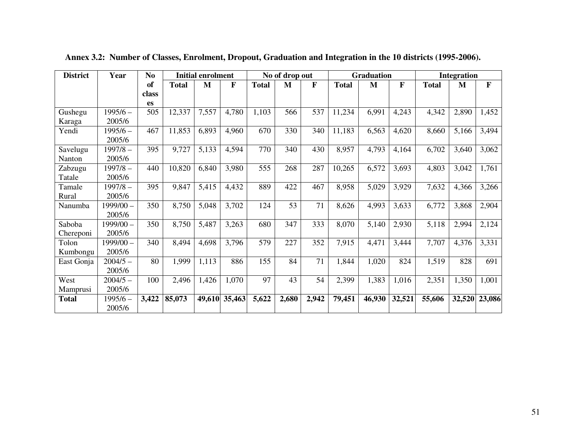| <b>District</b> | Year        | N <sub>0</sub> | <b>Initial enrolment</b> |        |        | No of drop out |       |       | <b>Graduation</b> |        |        | <b>Integration</b> |        |        |
|-----------------|-------------|----------------|--------------------------|--------|--------|----------------|-------|-------|-------------------|--------|--------|--------------------|--------|--------|
|                 |             | of             | <b>Total</b>             | M      | F      | <b>Total</b>   | M     | F     | <b>Total</b>      | M      | F      | <b>Total</b>       | M      | F      |
|                 |             | class          |                          |        |        |                |       |       |                   |        |        |                    |        |        |
|                 |             | es             |                          |        |        |                |       |       |                   |        |        |                    |        |        |
| Gushegu         | $1995/6 -$  | 505            | 12,337                   | 7,557  | 4,780  | 1,103          | 566   | 537   | 11,234            | 6,991  | 4,243  | 4,342              | 2,890  | 1,452  |
| Karaga          | 2005/6      |                |                          |        |        |                |       |       |                   |        |        |                    |        |        |
| Yendi           | $1995/6 -$  | 467            | 11,853                   | 6,893  | 4,960  | 670            | 330   | 340   | 11,183            | 6,563  | 4,620  | 8,660              | 5,166  | 3,494  |
|                 | 2005/6      |                |                          |        |        |                |       |       |                   |        |        |                    |        |        |
| Savelugu        | $1997/8 -$  | 395            | 9,727                    | 5,133  | 4,594  | 770            | 340   | 430   | 8,957             | 4,793  | 4,164  | 6,702              | 3,640  | 3,062  |
| Nanton          | 2005/6      |                |                          |        |        |                |       |       |                   |        |        |                    |        |        |
| Zabzugu         | $1997/8 -$  | 440            | 10,820                   | 6,840  | 3,980  | 555            | 268   | 287   | 10,265            | 6,572  | 3,693  | 4,803              | 3,042  | 1,761  |
| Tatale          | 2005/6      |                |                          |        |        |                |       |       |                   |        |        |                    |        |        |
| Tamale          | $1997/8 -$  | 395            | 9,847                    | 5,415  | 4,432  | 889            | 422   | 467   | 8,958             | 5,029  | 3,929  | 7,632              | 4,366  | 3,266  |
| Rural           | 2005/6      |                |                          |        |        |                |       |       |                   |        |        |                    |        |        |
| Nanumba         | $1999/00 -$ | 350            | 8,750                    | 5,048  | 3,702  | 124            | 53    | 71    | 8,626             | 4,993  | 3,633  | 6,772              | 3,868  | 2,904  |
|                 | 2005/6      |                |                          |        |        |                |       |       |                   |        |        |                    |        |        |
| Saboba          | 1999/00 -   | 350            | 8,750                    | 5,487  | 3,263  | 680            | 347   | 333   | 8,070             | 5,140  | 2,930  | 5,118              | 2,994  | 2,124  |
| Chereponi       | 2005/6      |                |                          |        |        |                |       |       |                   |        |        |                    |        |        |
| Tolon           | $1999/00 -$ | 340            | 8,494                    | 4,698  | 3,796  | 579            | 227   | 352   | 7,915             | 4,471  | 3,444  | 7,707              | 4,376  | 3,331  |
| Kumbongu        | 2005/6      |                |                          |        |        |                |       |       |                   |        |        |                    |        |        |
| East Gonja      | $2004/5 -$  | 80             | 1,999                    | 1,113  | 886    | 155            | 84    | 71    | 1,844             | 1,020  | 824    | 1,519              | 828    | 691    |
|                 | 2005/6      |                |                          |        |        |                |       |       |                   |        |        |                    |        |        |
| West            | $2004/5 -$  | 100            | 2,496                    | 1,426  | 1,070  | 97             | 43    | 54    | 2,399             | 1,383  | 1,016  | 2,351              | 1,350  | 1,001  |
| Mamprusi        | 2005/6      |                |                          |        |        |                |       |       |                   |        |        |                    |        |        |
| <b>Total</b>    | 1995/6 –    | 3,422          | 85,073                   | 49,610 | 35,463 | 5,622          | 2,680 | 2,942 | 79,451            | 46,930 | 32,521 | 55,606             | 32,520 | 23,086 |
|                 | 2005/6      |                |                          |        |        |                |       |       |                   |        |        |                    |        |        |

**Annex 3.2: Number of Classes, Enrolment, Dropout, Graduation and Integration in the 10 districts (1995-2006).**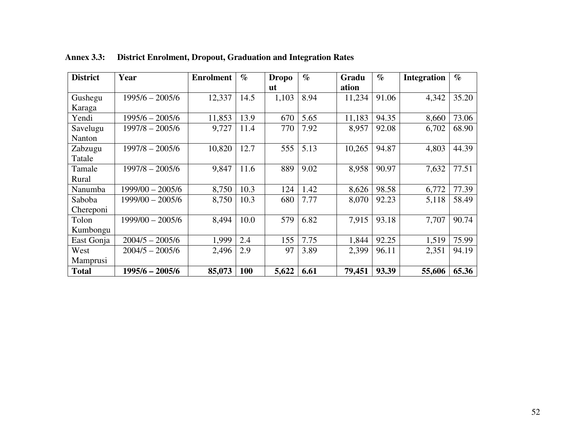| <b>District</b> | Year               | <b>Enrolment</b> | $\%$ | <b>Dropo</b> | $\%$ | Gradu  | $\%$  | <b>Integration</b> | $\%$  |
|-----------------|--------------------|------------------|------|--------------|------|--------|-------|--------------------|-------|
|                 |                    |                  |      | <u>ut</u>    |      | ation  |       |                    |       |
| Gushegu         | $1995/6 - 2005/6$  | 12,337           | 14.5 | 1,103        | 8.94 | 11,234 | 91.06 | 4,342              | 35.20 |
| Karaga          |                    |                  |      |              |      |        |       |                    |       |
| Yendi           | 1995/6 - 2005/6    | 11,853           | 13.9 | 670          | 5.65 | 11,183 | 94.35 | 8,660              | 73.06 |
| Savelugu        | 1997/8 - 2005/6    | 9,727            | 11.4 | 770          | 7.92 | 8,957  | 92.08 | 6,702              | 68.90 |
| Nanton          |                    |                  |      |              |      |        |       |                    |       |
| Zabzugu         | $1997/8 - 2005/6$  | 10,820           | 12.7 | 555          | 5.13 | 10,265 | 94.87 | 4,803              | 44.39 |
| Tatale          |                    |                  |      |              |      |        |       |                    |       |
| Tamale          | $1997/8 - 2005/6$  | 9,847            | 11.6 | 889          | 9.02 | 8,958  | 90.97 | 7,632              | 77.51 |
| Rural           |                    |                  |      |              |      |        |       |                    |       |
| Nanumba         | 1999/00 - 2005/6   | 8,750            | 10.3 | 124          | 1.42 | 8,626  | 98.58 | 6,772              | 77.39 |
| Saboba          | 1999/00 - 2005/6   | 8,750            | 10.3 | 680          | 7.77 | 8,070  | 92.23 | 5,118              | 58.49 |
| Chereponi       |                    |                  |      |              |      |        |       |                    |       |
| Tolon           | $1999/00 - 2005/6$ | 8,494            | 10.0 | 579          | 6.82 | 7,915  | 93.18 | 7,707              | 90.74 |
| Kumbongu        |                    |                  |      |              |      |        |       |                    |       |
| East Gonja      | $2004/5 - 2005/6$  | 1,999            | 2.4  | 155          | 7.75 | 1,844  | 92.25 | 1,519              | 75.99 |
| West            | $2004/5 - 2005/6$  | 2,496            | 2.9  | 97           | 3.89 | 2,399  | 96.11 | 2,351              | 94.19 |
| Mamprusi        |                    |                  |      |              |      |        |       |                    |       |
| <b>Total</b>    | 1995/6 - 2005/6    | 85,073           | 100  | 5,622        | 6.61 | 79,451 | 93.39 | 55,606             | 65.36 |

**Annex 3.3: District Enrolment, Dropout, Graduation and Integration Rates**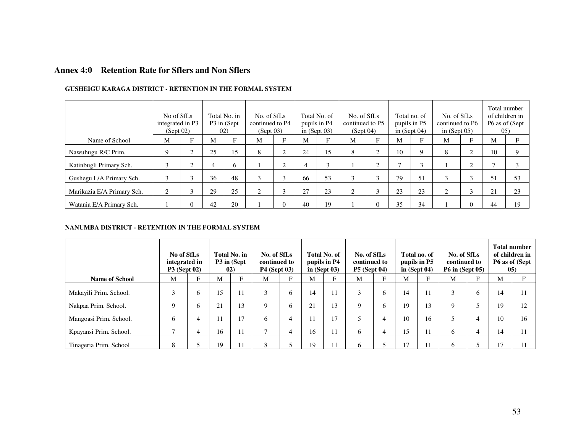#### **Annex 4:0 Retention Rate for Sflers and Non Sflers**

|                            | No of SfLs<br>integrated in P3<br>(Sept 02) |                |    | Total No. in<br>P3 in (Sept)<br>02) | No. of SfLs<br>continued to P4<br>(Sept 03) |        |    | Total No. of<br>pupils in P4<br>in $(Sept 03)$ | No. of SfLs<br>continued to P5<br>(Sept 04) |                |    | Total no. of<br>pupils in P5<br>in $(Sept 04)$ | No. of SfLs<br>continued to P6<br>in $(Sept 05)$ |        |    | Total number<br>of children in<br>P6 as of (Sept)<br>(05) |
|----------------------------|---------------------------------------------|----------------|----|-------------------------------------|---------------------------------------------|--------|----|------------------------------------------------|---------------------------------------------|----------------|----|------------------------------------------------|--------------------------------------------------|--------|----|-----------------------------------------------------------|
| Name of School             | M                                           | E              | М  | E                                   | М                                           |        | M  |                                                | M                                           | F              | M  | Е                                              | М                                                |        | М  |                                                           |
| Nawuhugu R/C Prim.         | 9                                           |                | 25 | 15                                  | 8                                           | ⌒      | 24 | 15                                             | 8                                           | $\overline{2}$ | 10 | Q                                              | 8                                                | ⌒      | 10 |                                                           |
| Katinbugli Primary Sch.    |                                             |                | 4  | 6                                   |                                             | ⌒      | 4  | 3                                              |                                             | $\overline{2}$ |    | $\sim$                                         |                                                  | ⌒      |    |                                                           |
| Gushegu L/A Primary Sch.   | 3                                           | $\overline{ }$ | 36 | 48                                  | 3                                           | $\sim$ | 66 | 53                                             | 3                                           | 3              | 79 | 51                                             | 3                                                | $\sim$ | 51 | 53                                                        |
| Marikazia E/A Primary Sch. | 2                                           |                | 29 | 25                                  | ◠                                           | $\sim$ | 27 | 23                                             | 2                                           | 3              | 23 | 23                                             | ◠                                                | 3      | 21 | 23                                                        |
| Watania E/A Primary Sch.   |                                             | 0              | 42 | 20                                  |                                             | 0      | 40 | 19                                             |                                             | $\overline{0}$ | 35 | 34                                             |                                                  |        | 44 | 19                                                        |

#### **GUSHEIGU KARAGA DISTRICT - RETENTION IN THE FORMAL SYSTEM**

#### **NANUMBA DISTRICT - RETENTION IN THE FORMAL SYSTEM**

|                        | No of SfLs<br>integrated in<br><b>P3</b> (Sept 02) |              | 02) | Total No. in<br>P3 in (Sept | No. of SfLs<br>continued to<br><b>P4 (Sept 03)</b> |    |    | <b>Total No. of</b><br>pupils in P4<br>in $(Sept 03)$ | No. of SfLs<br>continued to<br><b>P5</b> (Sept 04) |   |              | Total no. of<br>pupils in P5<br>in $(Sent 04)$ | No. of SfLs<br>continued to<br><b>P6 in (Sept 05)</b> |   | 05) | <b>Total number</b><br>of children in<br>P6 as of (Sept |
|------------------------|----------------------------------------------------|--------------|-----|-----------------------------|----------------------------------------------------|----|----|-------------------------------------------------------|----------------------------------------------------|---|--------------|------------------------------------------------|-------------------------------------------------------|---|-----|---------------------------------------------------------|
| <b>Name of School</b>  | M                                                  | E            | M   | F                           | М                                                  | E. | M  |                                                       | М                                                  |   | М            | Е                                              | M                                                     |   | М   |                                                         |
| Makayili Prim. School. |                                                    | <sub>0</sub> | 15  | 11                          | $\sim$                                             | 6  | 14 | 11                                                    |                                                    | O | 14           | 11                                             | 3                                                     | o | 14  | 11                                                      |
| Nakpaa Prim. School.   | q                                                  | 6            | 21  | 13                          | 9                                                  | 6. | 21 | 13                                                    | $\Omega$                                           | 6 | 19           | 13                                             | Q                                                     |   | 19  | 12                                                      |
| Mangoasi Prim. School. | 6                                                  | 4            | 11  | 17                          | 6                                                  | 4  |    | 17                                                    |                                                    | 4 | 10           | 16                                             |                                                       | 4 | 10  | 16                                                      |
| Kpayansi Prim. School. |                                                    | 4            | 16  | 11                          | −                                                  | 4  | 16 | $\pm 1$                                               | 6                                                  | 4 | 15           | 11                                             | <sub>0</sub>                                          | 4 | 14  | 11                                                      |
| Tinageria Prim. School | 8                                                  |              | 19  | 11                          | 8                                                  |    | 19 |                                                       | h                                                  |   | $\mathbf{I}$ |                                                | h                                                     |   | 17  | 11                                                      |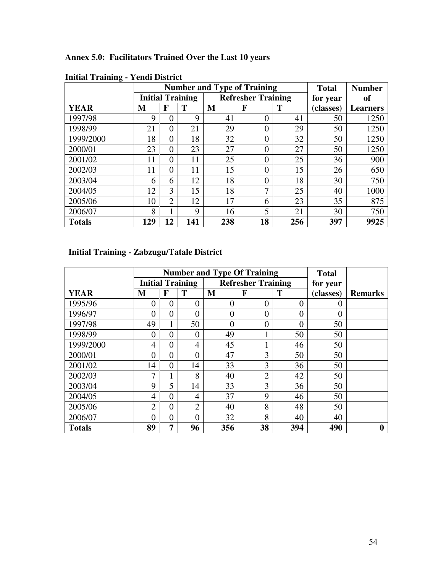**Annex 5.0: Facilitators Trained Over the Last 10 years** 

| $\bullet$     |     |                |                         |     | <b>Number and Type of Training</b> |     | <b>Total</b> | <b>Number</b>   |
|---------------|-----|----------------|-------------------------|-----|------------------------------------|-----|--------------|-----------------|
|               |     |                | <b>Initial Training</b> |     | <b>Refresher Training</b>          |     | for year     | <b>of</b>       |
| <b>YEAR</b>   | M   | F              | Т                       | M   | F                                  | T   | (classes)    | <b>Learners</b> |
| 1997/98       | 9   | 0              | 9                       | 41  | $\boldsymbol{0}$                   | 41  | 50           | 1250            |
| 1998/99       | 21  | $\theta$       | 21                      | 29  | $\overline{0}$                     | 29  | 50           | 1250            |
| 1999/2000     | 18  | $\theta$       | 18                      | 32  | $\theta$                           | 32  | 50           | 1250            |
| 2000/01       | 23  | $\overline{0}$ | 23                      | 27  | $\overline{0}$                     | 27  | 50           | 1250            |
| 2001/02       | 11  | $\theta$       | 11                      | 25  | $\Omega$                           | 25  | 36           | 900             |
| 2002/03       | 11  | $\overline{0}$ | 11                      | 15  | $\overline{0}$                     | 15  | 26           | 650             |
| 2003/04       | 6   | 6              | 12                      | 18  | 0                                  | 18  | 30           | 750             |
| 2004/05       | 12  | 3              | 15                      | 18  | 7                                  | 25  | 40           | 1000            |
| 2005/06       | 10  | $\overline{2}$ | 12                      | 17  | 6                                  | 23  | 35           | 875             |
| 2006/07       | 8   | 1              | 9                       | 16  | 5                                  | 21  | 30           | 750             |
| <b>Totals</b> | 129 | 12             | 141                     | 238 | 18                                 | 256 | 397          | 9925            |

**Initial Training - Yendi District**

## **Initial Training - Zabzugu/Tatale District**

|               |                |                | <b>Number and Type Of Training</b> |                | <b>Total</b>              |                |                  |                |
|---------------|----------------|----------------|------------------------------------|----------------|---------------------------|----------------|------------------|----------------|
|               |                |                | <b>Initial Training</b>            |                | <b>Refresher Training</b> |                | for year         |                |
| <b>YEAR</b>   | M              | F              | T                                  | M              | F                         | T              | (classes)        | <b>Remarks</b> |
| 1995/96       | 0              | $\overline{0}$ | $\overline{0}$                     | $\theta$       | $\theta$                  | $\Omega$       | $\left( \right)$ |                |
| 1996/97       | $\overline{0}$ | $\overline{0}$ | $\overline{0}$                     | $\overline{0}$ | $\overline{0}$            | $\overline{0}$ | $\overline{0}$   |                |
| 1997/98       | 49             | 1              | 50                                 | $\overline{0}$ | $\overline{0}$            | $\overline{0}$ | 50               |                |
| 1998/99       | $\overline{0}$ | $\overline{0}$ | $\overline{0}$                     | 49             | 1                         | 50             | 50               |                |
| 1999/2000     | $\overline{4}$ | $\overline{0}$ | 4                                  | 45             | 1                         | 46             | 50               |                |
| 2000/01       | $\overline{0}$ | $\overline{0}$ | $\overline{0}$                     | 47             | 3                         | 50             | 50               |                |
| 2001/02       | 14             | $\overline{0}$ | 14                                 | 33             | 3                         | 36             | 50               |                |
| 2002/03       | 7              | 1              | 8                                  | 40             | $\overline{2}$            | 42             | 50               |                |
| 2003/04       | 9              | 5              | 14                                 | 33             | 3                         | 36             | 50               |                |
| 2004/05       | $\overline{4}$ | $\overline{0}$ | 4                                  | 37             | 9                         | 46             | 50               |                |
| 2005/06       | $\overline{2}$ | $\overline{0}$ | $\overline{2}$                     | 40             | 8                         | 48             | 50               |                |
| 2006/07       | $\overline{0}$ | $\overline{0}$ | $\overline{0}$                     | 32             | 8                         | 40             | 40               |                |
| <b>Totals</b> | 89             | 7              | 96                                 | 356            | 38                        | 394            | 490              | 0              |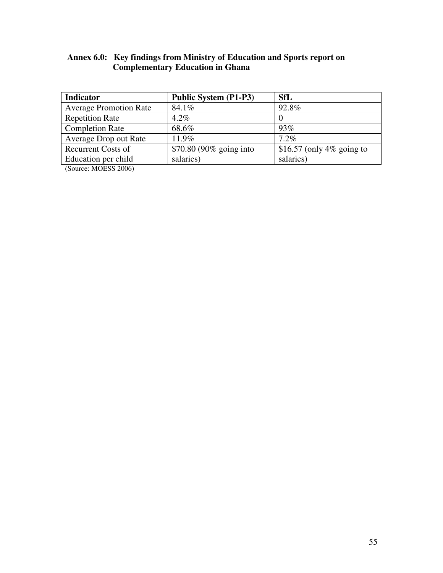#### **Annex 6.0: Key findings from Ministry of Education and Sports report on Complementary Education in Ghana**

| <b>Indicator</b>              | Public System (P1-P3)   | <b>SfL</b>                |
|-------------------------------|-------------------------|---------------------------|
| <b>Average Promotion Rate</b> | 84.1%                   | 92.8%                     |
| <b>Repetition Rate</b>        | $4.2\%$                 |                           |
| <b>Completion Rate</b>        | 68.6%                   | 93%                       |
| Average Drop out Rate         | $11.9\%$                | $7.2\%$                   |
| <b>Recurrent Costs of</b>     | \$70.80 (90% going into | \$16.57 (only 4% going to |
| Education per child           | salaries)               | salaries)                 |

(Source: MOESS 2006)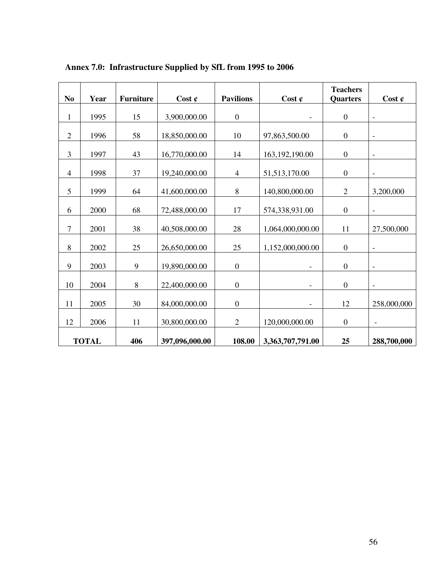| N <sub>0</sub>   | Year         | <b>Furniture</b> | Cost $\mathfrak{C}$ | <b>Pavilions</b> | Cost $\mathfrak{C}$ | <b>Teachers</b><br><b>Quarters</b> | Cost $\mathfrak{C}$      |
|------------------|--------------|------------------|---------------------|------------------|---------------------|------------------------------------|--------------------------|
|                  |              |                  |                     |                  |                     |                                    |                          |
| $\mathbf{1}$     | 1995         | 15               | 3,900,000.00        | $\boldsymbol{0}$ |                     | $\boldsymbol{0}$                   | $\blacksquare$           |
| $\mathbf{2}$     | 1996         | 58               | 18,850,000.00       | 10               | 97,863,500.00       | $\boldsymbol{0}$                   | $\blacksquare$           |
| 3                | 1997         | 43               | 16,770,000.00       | 14               | 163, 192, 190.00    | $\boldsymbol{0}$                   | $\overline{\phantom{a}}$ |
| $\overline{4}$   | 1998         | 37               | 19,240,000.00       | $\overline{4}$   | 51, 513, 170.00     | $\boldsymbol{0}$                   | $\overline{\phantom{a}}$ |
| 5                | 1999         | 64               | 41,600,000.00       | $8\,$            | 140,800,000.00      | $\overline{2}$                     | 3,200,000                |
| 6                | 2000         | 68               | 72,488,000.00       | 17               | 574,338,931.00      | $\boldsymbol{0}$                   | $\overline{\phantom{a}}$ |
| $\boldsymbol{7}$ | 2001         | 38               | 40,508,000.00       | 28               | 1,064,000,000.00    | 11                                 | 27,500,000               |
| 8                | 2002         | 25               | 26,650,000.00       | 25               | 1,152,000,000.00    | $\boldsymbol{0}$                   | $\blacksquare$           |
| 9                | 2003         | 9                | 19,890,000.00       | $\boldsymbol{0}$ | $\overline{a}$      | $\overline{0}$                     | $\overline{\phantom{a}}$ |
| 10               | 2004         | $\,8\,$          | 22,400,000.00       | $\boldsymbol{0}$ | $\qquad \qquad -$   | $\boldsymbol{0}$                   | $\blacksquare$           |
| 11               | 2005         | 30               | 84,000,000.00       | $\boldsymbol{0}$ |                     | 12                                 | 258,000,000              |
| 12               | 2006         | 11               | 30,800,000.00       | $\overline{2}$   | 120,000,000.00      | $\boldsymbol{0}$                   | $\qquad \qquad -$        |
|                  | <b>TOTAL</b> | 406              | 397,096,000.00      | 108.00           | 3,363,707,791.00    | 25                                 | 288,700,000              |

**Annex 7.0: Infrastructure Supplied by SfL from 1995 to 2006**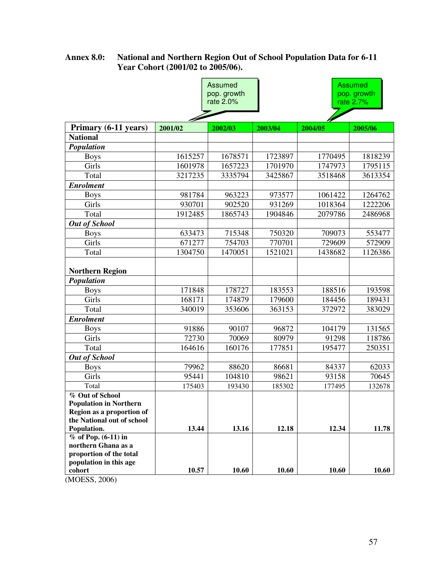#### **Annex 8.0: National and Northern Region Out of School Population Data for 6-11 Year Cohort (2001/02 to 2005/06).**

|                                                                                                             |         | Assumed<br>pop. growth<br>rate 2.0% |         |         | <b>Assumed</b><br>pop. growth<br>rate 2.7% |  |  |
|-------------------------------------------------------------------------------------------------------------|---------|-------------------------------------|---------|---------|--------------------------------------------|--|--|
| Primary (6-11 years)                                                                                        | 2001/02 | 2002/03                             | 2003/04 | 2004/05 | 2005/06                                    |  |  |
| <b>National</b>                                                                                             |         |                                     |         |         |                                            |  |  |
| Population                                                                                                  |         |                                     |         |         |                                            |  |  |
| <b>Boys</b>                                                                                                 | 1615257 | 1678571                             | 1723897 | 1770495 | 1818239                                    |  |  |
| Girls                                                                                                       | 1601978 | 1657223                             | 1701970 | 1747973 | 1795115                                    |  |  |
| Total                                                                                                       | 3217235 | 3335794                             | 3425867 | 3518468 | 3613354                                    |  |  |
| <b>Enrolment</b>                                                                                            |         |                                     |         |         |                                            |  |  |
| <b>Boys</b>                                                                                                 | 981784  | 963223                              | 973577  | 1061422 | 1264762                                    |  |  |
| Girls                                                                                                       | 930701  | 902520                              | 931269  | 1018364 | 1222206                                    |  |  |
| Total                                                                                                       | 1912485 | 1865743                             | 1904846 | 2079786 | 2486968                                    |  |  |
| <b>Out of School</b>                                                                                        |         |                                     |         |         |                                            |  |  |
| <b>Boys</b>                                                                                                 | 633473  | 715348                              | 750320  | 709073  | 553477                                     |  |  |
| Girls                                                                                                       | 671277  | 754703                              | 770701  | 729609  | 572909                                     |  |  |
| Total                                                                                                       | 1304750 | 1470051                             | 1521021 | 1438682 | 1126386                                    |  |  |
| <b>Northern Region</b><br>Population                                                                        |         |                                     |         |         |                                            |  |  |
| <b>Boys</b>                                                                                                 | 171848  | 178727                              | 183553  | 188516  | 193598                                     |  |  |
| Girls                                                                                                       | 168171  | 174879                              | 179600  | 184456  | 189431                                     |  |  |
| Total                                                                                                       | 340019  | 353606                              | 363153  | 372972  | 383029                                     |  |  |
| <b>Enrolment</b>                                                                                            |         |                                     |         |         |                                            |  |  |
| <b>Boys</b>                                                                                                 | 91886   | 90107                               | 96872   | 104179  | 131565                                     |  |  |
| Girls                                                                                                       | 72730   | 70069                               | 80979   | 91298   | 118786                                     |  |  |
| Total                                                                                                       | 164616  | 160176                              | 177851  | 195477  | 250351                                     |  |  |
| <b>Out of School</b>                                                                                        |         |                                     |         |         |                                            |  |  |
| <b>Boys</b>                                                                                                 | 79962   | 88620                               | 86681   | 84337   | 62033                                      |  |  |
| Girls                                                                                                       | 95441   | 104810                              | 98621   | 93158   | 70645                                      |  |  |
| Total                                                                                                       | 175403  | 193430                              | 185302  | 177495  | 132678                                     |  |  |
| % Out of School<br><b>Population in Northern</b><br>Region as a proportion of<br>the National out of school |         |                                     |         |         |                                            |  |  |
| Population.                                                                                                 | 13.44   | 13.16                               | 12.18   | 12.34   | 11.78                                      |  |  |
| $%$ of Pop. (6-11) in<br>northern Ghana as a<br>proportion of the total<br>population in this age           |         |                                     |         |         |                                            |  |  |
| cohort<br>(MOESS, 2006)                                                                                     | 10.57   | 10.60                               | 10.60   | 10.60   | 10.60                                      |  |  |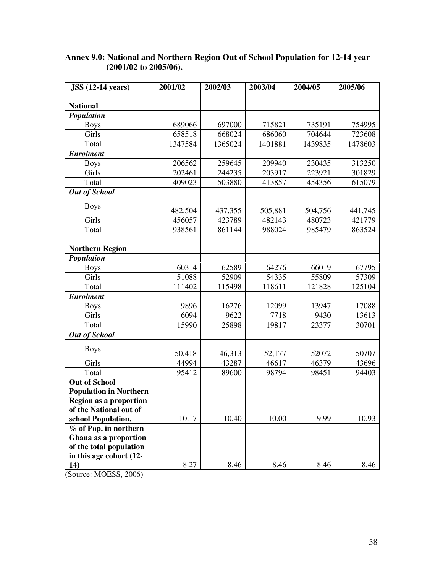| $JSS(12-14 \text{ years})$    | 2001/02 | 2002/03 | 2003/04 | 2004/05 | 2005/06 |
|-------------------------------|---------|---------|---------|---------|---------|
|                               |         |         |         |         |         |
| <b>National</b>               |         |         |         |         |         |
| Population                    |         |         |         |         |         |
| <b>Boys</b>                   | 689066  | 697000  | 715821  | 735191  | 754995  |
| Girls                         | 658518  | 668024  | 686060  | 704644  | 723608  |
| Total                         | 1347584 | 1365024 | 1401881 | 1439835 | 1478603 |
| <b>Enrolment</b>              |         |         |         |         |         |
| <b>Boys</b>                   | 206562  | 259645  | 209940  | 230435  | 313250  |
| Girls                         | 202461  | 244235  | 203917  | 223921  | 301829  |
| Total                         | 409023  | 503880  | 413857  | 454356  | 615079  |
| <b>Out of School</b>          |         |         |         |         |         |
| <b>Boys</b>                   | 482,504 | 437,355 | 505,881 | 504,756 | 441,745 |
| Girls                         | 456057  | 423789  | 482143  | 480723  | 421779  |
| Total                         | 938561  | 861144  | 988024  | 985479  | 863524  |
|                               |         |         |         |         |         |
| <b>Northern Region</b>        |         |         |         |         |         |
| Population                    |         |         |         |         |         |
| <b>Boys</b>                   | 60314   | 62589   | 64276   | 66019   | 67795   |
| Girls                         | 51088   | 52909   | 54335   | 55809   | 57309   |
| Total                         | 111402  | 115498  | 118611  | 121828  | 125104  |
| <b>Enrolment</b>              |         |         |         |         |         |
| <b>Boys</b>                   | 9896    | 16276   | 12099   | 13947   | 17088   |
| Girls                         | 6094    | 9622    | 7718    | 9430    | 13613   |
| Total                         | 15990   | 25898   | 19817   | 23377   | 30701   |
| <b>Out of School</b>          |         |         |         |         |         |
| <b>Boys</b>                   | 50,418  | 46,313  | 52,177  | 52072   | 50707   |
| Girls                         | 44994   | 43287   | 46617   | 46379   | 43696   |
| Total                         | 95412   | 89600   | 98794   | 98451   | 94403   |
| <b>Out of School</b>          |         |         |         |         |         |
| <b>Population in Northern</b> |         |         |         |         |         |
| <b>Region as a proportion</b> |         |         |         |         |         |
| of the National out of        |         |         |         |         |         |
| school Population.            | 10.17   | 10.40   | 10.00   | 9.99    | 10.93   |
| % of Pop. in northern         |         |         |         |         |         |
| Ghana as a proportion         |         |         |         |         |         |
| of the total population       |         |         |         |         |         |
| in this age cohort (12-       |         |         |         |         |         |
| 14)                           | 8.27    | 8.46    | 8.46    | 8.46    | 8.46    |

#### **Annex 9.0: National and Northern Region Out of School Population for 12-14 year (2001/02 to 2005/06).**

(Source: MOESS, 2006)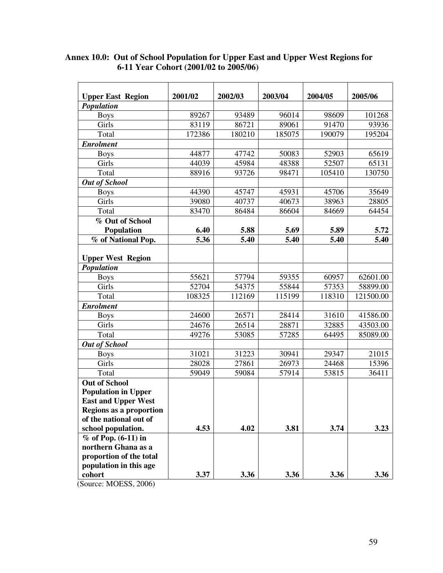| <b>Upper East Region</b>      | 2001/02 | 2002/03 | 2003/04 | 2004/05 | 2005/06   |
|-------------------------------|---------|---------|---------|---------|-----------|
| Population                    |         |         |         |         |           |
| <b>Boys</b>                   | 89267   | 93489   | 96014   | 98609   | 101268    |
| Girls                         | 83119   | 86721   | 89061   | 91470   | 93936     |
| Total                         | 172386  | 180210  | 185075  | 190079  | 195204    |
| <b>Enrolment</b>              |         |         |         |         |           |
| <b>Boys</b>                   | 44877   | 47742   | 50083   | 52903   | 65619     |
| Girls                         | 44039   | 45984   | 48388   | 52507   | 65131     |
| Total                         | 88916   | 93726   | 98471   | 105410  | 130750    |
| <b>Out of School</b>          |         |         |         |         |           |
| <b>Boys</b>                   | 44390   | 45747   | 45931   | 45706   | 35649     |
| Girls                         | 39080   | 40737   | 40673   | 38963   | 28805     |
| Total                         | 83470   | 86484   | 86604   | 84669   | 64454     |
| $\overline{\%}$ Out of School |         |         |         |         |           |
| Population                    | 6.40    | 5.88    | 5.69    | 5.89    | 5.72      |
| % of National Pop.            | 5.36    | 5.40    | 5.40    | 5.40    | 5.40      |
|                               |         |         |         |         |           |
| <b>Upper West Region</b>      |         |         |         |         |           |
| Population                    |         |         |         |         |           |
| <b>Boys</b>                   | 55621   | 57794   | 59355   | 60957   | 62601.00  |
| Girls                         | 52704   | 54375   | 55844   | 57353   | 58899.00  |
| Total                         | 108325  | 112169  | 115199  | 118310  | 121500.00 |
| <b>Enrolment</b>              |         |         |         |         |           |
| <b>Boys</b>                   | 24600   | 26571   | 28414   | 31610   | 41586.00  |
| Girls                         | 24676   | 26514   | 28871   | 32885   | 43503.00  |
| Total                         | 49276   | 53085   | 57285   | 64495   | 85089.00  |
| <b>Out of School</b>          |         |         |         |         |           |
| <b>Boys</b>                   | 31021   | 31223   | 30941   | 29347   | 21015     |
| Girls                         | 28028   | 27861   | 26973   | 24468   | 15396     |
| Total                         | 59049   | 59084   | 57914   | 53815   | 36411     |
| <b>Out of School</b>          |         |         |         |         |           |
| <b>Population in Upper</b>    |         |         |         |         |           |
| <b>East and Upper West</b>    |         |         |         |         |           |
| Regions as a proportion       |         |         |         |         |           |
| of the national out of        |         |         |         |         |           |
| school population.            | 4.53    | 4.02    | 3.81    | 3.74    | 3.23      |
| $%$ of Pop. (6-11) in         |         |         |         |         |           |
| northern Ghana as a           |         |         |         |         |           |
| proportion of the total       |         |         |         |         |           |
| population in this age        |         |         |         |         |           |
| cohort                        | 3.37    | 3.36    | 3.36    | 3.36    | 3.36      |

#### **Annex 10.0: Out of School Population for Upper East and Upper West Regions for 6-11 Year Cohort (2001/02 to 2005/06)**

(Source: MOESS, 2006)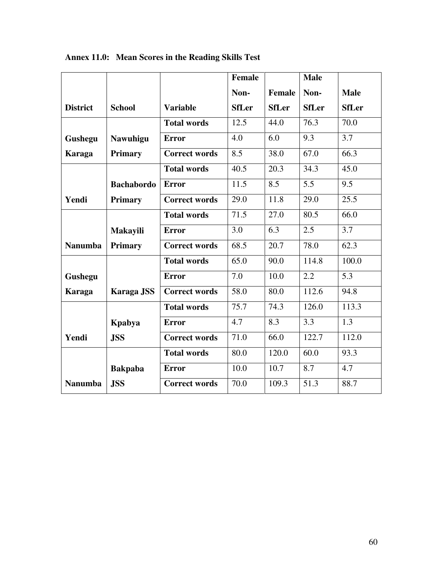|                 |                   |                      | <b>Female</b> |               | <b>Male</b>  |              |
|-----------------|-------------------|----------------------|---------------|---------------|--------------|--------------|
|                 |                   |                      | Non-          | <b>Female</b> | Non-         | <b>Male</b>  |
| <b>District</b> | <b>School</b>     | <b>Variable</b>      | <b>SfLer</b>  | <b>SfLer</b>  | <b>SfLer</b> | <b>SfLer</b> |
|                 |                   | <b>Total words</b>   | 12.5          | 44.0          | 76.3         | 70.0         |
| Gushegu         | <b>Nawuhigu</b>   | <b>Error</b>         | 4.0           | 6.0           | 9.3          | 3.7          |
| <b>Karaga</b>   | <b>Primary</b>    | <b>Correct words</b> | 8.5           | 38.0          | 67.0         | 66.3         |
|                 |                   | <b>Total words</b>   | 40.5          | 20.3          | 34.3         | 45.0         |
|                 | <b>Bachabordo</b> | <b>Error</b>         | 11.5          | 8.5           | 5.5          | 9.5          |
| Yendi           | <b>Primary</b>    | <b>Correct words</b> | 29.0          | 11.8          | 29.0         | 25.5         |
|                 |                   | <b>Total words</b>   | 71.5          | 27.0          | 80.5         | 66.0         |
|                 | <b>Makayili</b>   | <b>Error</b>         | 3.0           | 6.3           | 2.5          | 3.7          |
| <b>Nanumba</b>  | <b>Primary</b>    | <b>Correct words</b> | 68.5          | 20.7          | 78.0         | 62.3         |
|                 |                   | <b>Total words</b>   | 65.0          | 90.0          | 114.8        | 100.0        |
| Gushegu         |                   | <b>Error</b>         | 7.0           | 10.0          | 2.2          | 5.3          |
| <b>Karaga</b>   | Karaga JSS        | <b>Correct words</b> | 58.0          | 80.0          | 112.6        | 94.8         |
|                 |                   | <b>Total words</b>   | 75.7          | 74.3          | 126.0        | 113.3        |
|                 | Kpabya            | <b>Error</b>         | 4.7           | 8.3           | 3.3          | 1.3          |
| Yendi           | <b>JSS</b>        | <b>Correct words</b> | 71.0          | 66.0          | 122.7        | 112.0        |
|                 |                   | <b>Total words</b>   | 80.0          | 120.0         | 60.0         | 93.3         |
|                 | <b>Bakpaba</b>    | <b>Error</b>         | 10.0          | 10.7          | 8.7          | 4.7          |
| <b>Nanumba</b>  | <b>JSS</b>        | <b>Correct words</b> | 70.0          | 109.3         | 51.3         | 88.7         |

**Annex 11.0: Mean Scores in the Reading Skills Test**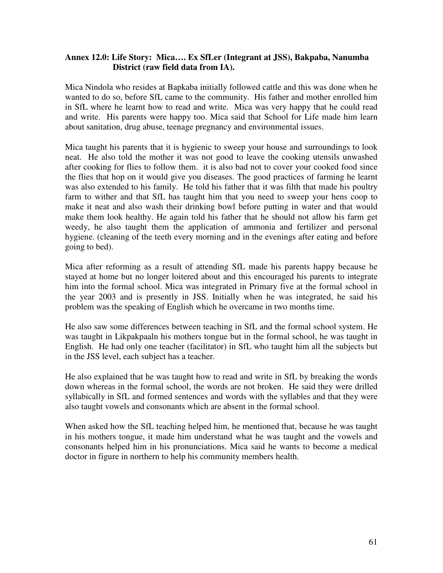#### **Annex 12.0: Life Story: Mica…. Ex SfLer (Integrant at JSS), Bakpaba, Nanumba District (raw field data from IA).**

Mica Nindola who resides at Bapkaba initially followed cattle and this was done when he wanted to do so, before SfL came to the community. His father and mother enrolled him in SfL where he learnt how to read and write. Mica was very happy that he could read and write. His parents were happy too. Mica said that School for Life made him learn about sanitation, drug abuse, teenage pregnancy and environmental issues.

Mica taught his parents that it is hygienic to sweep your house and surroundings to look neat. He also told the mother it was not good to leave the cooking utensils unwashed after cooking for flies to follow them. it is also bad not to cover your cooked food since the flies that hop on it would give you diseases. The good practices of farming he learnt was also extended to his family. He told his father that it was filth that made his poultry farm to wither and that SfL has taught him that you need to sweep your hens coop to make it neat and also wash their drinking bowl before putting in water and that would make them look healthy. He again told his father that he should not allow his farm get weedy, he also taught them the application of ammonia and fertilizer and personal hygiene. (cleaning of the teeth every morning and in the evenings after eating and before going to bed).

Mica after reforming as a result of attending SfL made his parents happy because he stayed at home but no longer loitered about and this encouraged his parents to integrate him into the formal school. Mica was integrated in Primary five at the formal school in the year 2003 and is presently in JSS. Initially when he was integrated, he said his problem was the speaking of English which he overcame in two months time.

He also saw some differences between teaching in SfL and the formal school system. He was taught in Likpakpaaln his mothers tongue but in the formal school, he was taught in English. He had only one teacher (facilitator) in SfL who taught him all the subjects but in the JSS level, each subject has a teacher.

He also explained that he was taught how to read and write in SfL by breaking the words down whereas in the formal school, the words are not broken. He said they were drilled syllabically in SfL and formed sentences and words with the syllables and that they were also taught vowels and consonants which are absent in the formal school.

When asked how the SfL teaching helped him, he mentioned that, because he was taught in his mothers tongue, it made him understand what he was taught and the vowels and consonants helped him in his pronunciations. Mica said he wants to become a medical doctor in figure in northern to help his community members health.